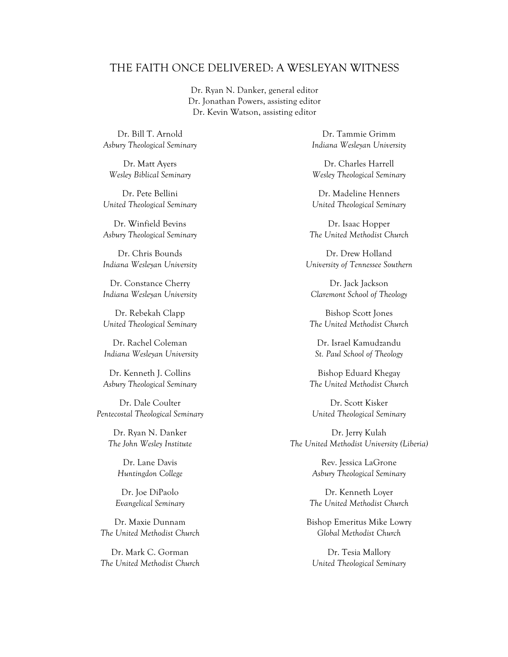#### THE FAITH ONCE DELIVERED: A WESLEYAN WITNESS

Dr. Ryan N. Danker, general editor Dr. Jonathan Powers, assisting editor Dr. Kevin Watson, assisting editor

Dr. Bill T. Arnold *Asbury Theological Seminary*

Dr. Matt Ayers *Wesley Biblical Seminary*

Dr. Pete Bellini *United Theological Seminary*

Dr. Winfield Bevins *Asbury Theological Seminary*

Dr. Chris Bounds *Indiana Wesleyan University*

Dr. Constance Cherry *Indiana Wesleyan University*

Dr. Rebekah Clapp *United Theological Seminary*

Dr. Rachel Coleman *Indiana Wesleyan University*

Dr. Kenneth J. Collins *Asbury Theological Seminary*

Dr. Dale Coulter *Pentecostal Theological Seminary*

> Dr. Ryan N. Danker *The John Wesley Institute*

> > Dr. Lane Davis *Huntingdon College*

Dr. Joe DiPaolo *Evangelical Seminary*

Dr. Maxie Dunnam *The United Methodist Church*

Dr. Mark C. Gorman *The United Methodist Church*

Dr. Tammie Grimm *Indiana Wesleyan University*

Dr. Charles Harrell *Wesley Theological Seminary*

Dr. Madeline Henners *United Theological Seminary*

Dr. Isaac Hopper *The United Methodist Church*

Dr. Drew Holland *University of Tennessee Southern*

Dr. Jack Jackson *Claremont School of Theology*

Bishop Scott Jones *The United Methodist Church*

Dr. Israel Kamudzandu *St. Paul School of Theology*

Bishop Eduard Khegay *The United Methodist Church* 

Dr. Scott Kisker *United Theological Seminary*

Dr. Jerry Kulah *The United Methodist University (Liberia)*

> Rev. Jessica LaGrone *Asbury Theological Seminary*

Dr. Kenneth Loyer *The United Methodist Church*

Bishop Emeritus Mike Lowry *Global Methodist Church*

Dr. Tesia Mallory *United Theological Seminary*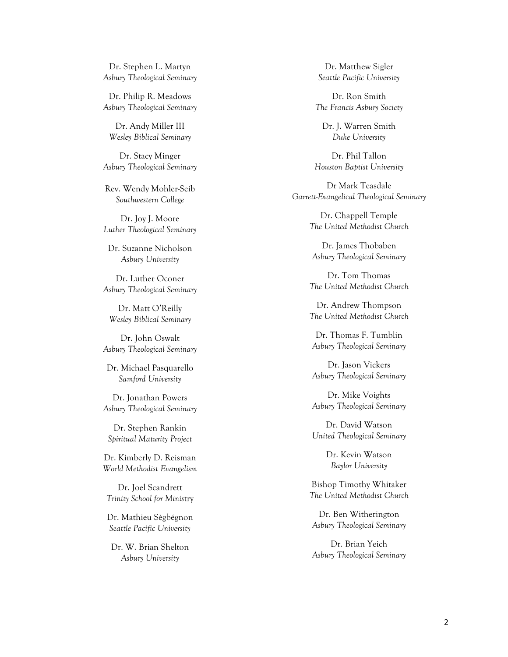Dr. Stephen L. Martyn *Asbury Theological Seminary*

Dr. Philip R. Meadows *Asbury Theological Seminary*

Dr. Andy Miller III *Wesley Biblical Seminary*

Dr. Stacy Minger *Asbury Theological Seminary*

Rev. Wendy Mohler-Seib *Southwestern College*

Dr. Joy J. Moore *Luther Theological Seminary*

Dr. Suzanne Nicholson *Asbury University*

Dr. Luther Oconer *Asbury Theological Seminary*

Dr. Matt O'Reilly *Wesley Biblical Seminary*

Dr. John Oswalt *Asbury Theological Seminary*

Dr. Michael Pasquarello *Samford University*

Dr. Jonathan Powers *Asbury Theological Seminary*

Dr. Stephen Rankin *Spiritual Maturity Project*

Dr. Kimberly D. Reisman *World Methodist Evangelism*

Dr. Joel Scandrett *Trinity School for Minis*try

Dr. Mathieu Sègbégnon *Seattle Pacific University*

Dr. W. Brian Shelton *Asbury University*

Dr. Matthew Sigler *Seattle Pacific University*

Dr. Ron Smith *The Francis Asbury Society*

Dr. J. Warren Smith *Duke University*

Dr. Phil Tallon *Houston Baptist University*

Dr Mark Teasdale *Garrett-Evangelical Theological Seminary*

> Dr. Chappell Temple *The United Methodist Church*

Dr. James Thobaben *Asbury Theological Seminary* 

Dr. Tom Thomas *The United Methodist Church*

Dr. Andrew Thompson *The United Methodist Church*

Dr. Thomas F. Tumblin *Asbury Theological Seminary*

Dr. Jason Vickers *Asbury Theological Seminary*

Dr. Mike Voights *Asbury Theological Seminary*

Dr. David Watson *United Theological Seminary*

> Dr. Kevin Watson *Baylor University*

Bishop Timothy Whitaker *The United Methodist Church*

Dr. Ben Witherington *Asbury Theological Seminary* 

Dr. Brian Yeich *Asbury Theological Seminary*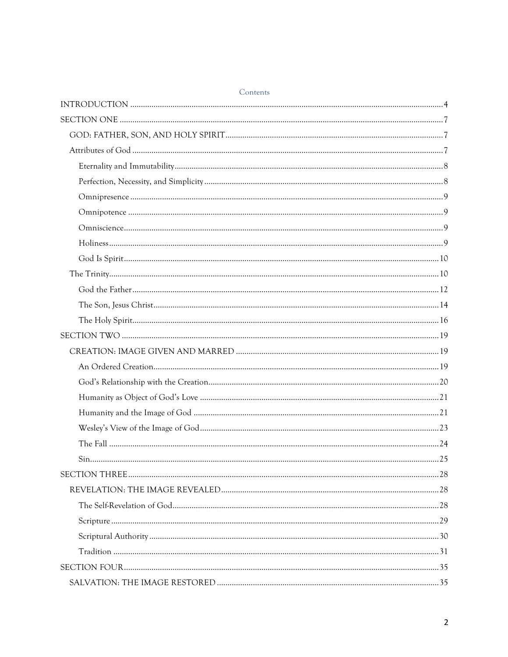| Contents |  |
|----------|--|
|          |  |
|          |  |
|          |  |
|          |  |
|          |  |
|          |  |
|          |  |
|          |  |
|          |  |
|          |  |
|          |  |
|          |  |
|          |  |
|          |  |
|          |  |
|          |  |
|          |  |
|          |  |
|          |  |
|          |  |
|          |  |
|          |  |
|          |  |
| Sin.     |  |
|          |  |
|          |  |
|          |  |
|          |  |
|          |  |
|          |  |
|          |  |
|          |  |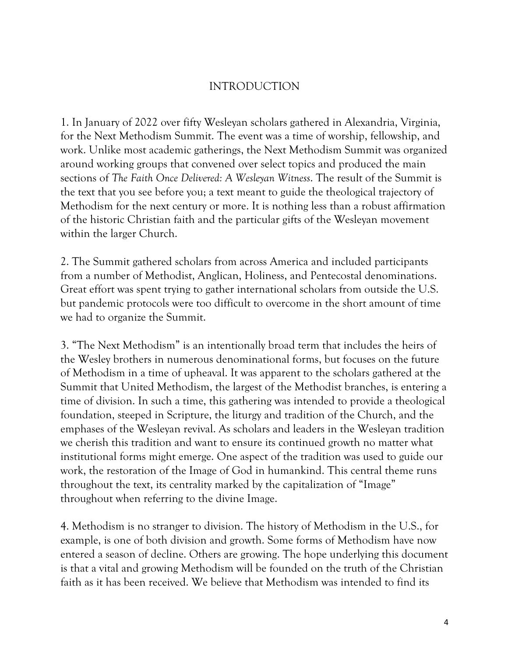# INTRODUCTION

1. In January of 2022 over fifty Wesleyan scholars gathered in Alexandria, Virginia, for the Next Methodism Summit. The event was a time of worship, fellowship, and work. Unlike most academic gatherings, the Next Methodism Summit was organized around working groups that convened over select topics and produced the main sections of *The Faith Once Delivered: A Wesleyan Witness*. The result of the Summit is the text that you see before you; a text meant to guide the theological trajectory of Methodism for the next century or more. It is nothing less than a robust affirmation of the historic Christian faith and the particular gifts of the Wesleyan movement within the larger Church.

2. The Summit gathered scholars from across America and included participants from a number of Methodist, Anglican, Holiness, and Pentecostal denominations. Great effort was spent trying to gather international scholars from outside the U.S. but pandemic protocols were too difficult to overcome in the short amount of time we had to organize the Summit.

3. "The Next Methodism" is an intentionally broad term that includes the heirs of the Wesley brothers in numerous denominational forms, but focuses on the future of Methodism in a time of upheaval. It was apparent to the scholars gathered at the Summit that United Methodism, the largest of the Methodist branches, is entering a time of division. In such a time, this gathering was intended to provide a theological foundation, steeped in Scripture, the liturgy and tradition of the Church, and the emphases of the Wesleyan revival. As scholars and leaders in the Wesleyan tradition we cherish this tradition and want to ensure its continued growth no matter what institutional forms might emerge. One aspect of the tradition was used to guide our work, the restoration of the Image of God in humankind. This central theme runs throughout the text, its centrality marked by the capitalization of "Image" throughout when referring to the divine Image.

4. Methodism is no stranger to division. The history of Methodism in the U.S., for example, is one of both division and growth. Some forms of Methodism have now entered a season of decline. Others are growing. The hope underlying this document is that a vital and growing Methodism will be founded on the truth of the Christian faith as it has been received. We believe that Methodism was intended to find its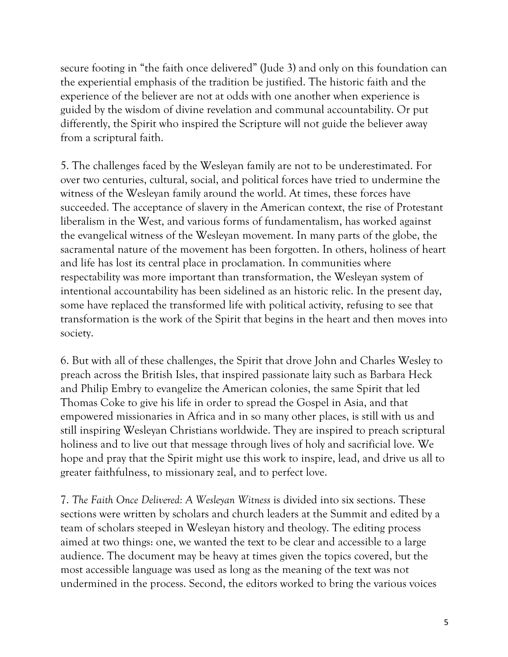secure footing in "the faith once delivered" (Jude 3) and only on this foundation can the experiential emphasis of the tradition be justified. The historic faith and the experience of the believer are not at odds with one another when experience is guided by the wisdom of divine revelation and communal accountability. Or put differently, the Spirit who inspired the Scripture will not guide the believer away from a scriptural faith.

5. The challenges faced by the Wesleyan family are not to be underestimated. For over two centuries, cultural, social, and political forces have tried to undermine the witness of the Wesleyan family around the world. At times, these forces have succeeded. The acceptance of slavery in the American context, the rise of Protestant liberalism in the West, and various forms of fundamentalism, has worked against the evangelical witness of the Wesleyan movement. In many parts of the globe, the sacramental nature of the movement has been forgotten. In others, holiness of heart and life has lost its central place in proclamation. In communities where respectability was more important than transformation, the Wesleyan system of intentional accountability has been sidelined as an historic relic. In the present day, some have replaced the transformed life with political activity, refusing to see that transformation is the work of the Spirit that begins in the heart and then moves into society.

6. But with all of these challenges, the Spirit that drove John and Charles Wesley to preach across the British Isles, that inspired passionate laity such as Barbara Heck and Philip Embry to evangelize the American colonies, the same Spirit that led Thomas Coke to give his life in order to spread the Gospel in Asia, and that empowered missionaries in Africa and in so many other places, is still with us and still inspiring Wesleyan Christians worldwide. They are inspired to preach scriptural holiness and to live out that message through lives of holy and sacrificial love. We hope and pray that the Spirit might use this work to inspire, lead, and drive us all to greater faithfulness, to missionary zeal, and to perfect love.

7. *The Faith Once Delivered: A Wesleyan Witness* is divided into six sections. These sections were written by scholars and church leaders at the Summit and edited by a team of scholars steeped in Wesleyan history and theology. The editing process aimed at two things: one, we wanted the text to be clear and accessible to a large audience. The document may be heavy at times given the topics covered, but the most accessible language was used as long as the meaning of the text was not undermined in the process. Second, the editors worked to bring the various voices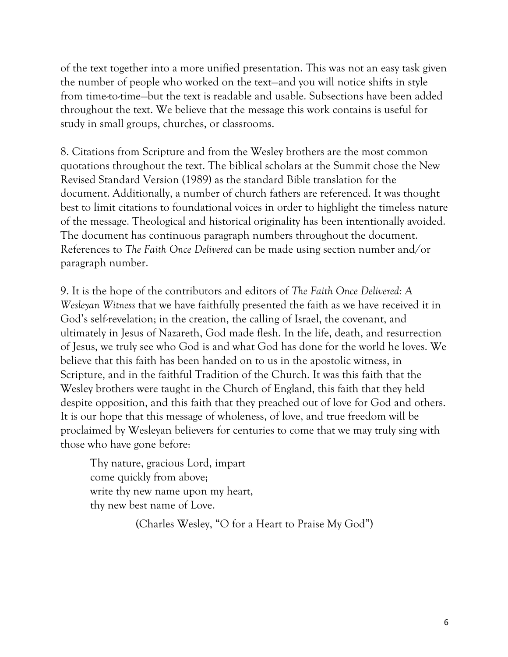of the text together into a more unified presentation. This was not an easy task given the number of people who worked on the text—and you will notice shifts in style from time-to-time—but the text is readable and usable. Subsections have been added throughout the text. We believe that the message this work contains is useful for study in small groups, churches, or classrooms.

8. Citations from Scripture and from the Wesley brothers are the most common quotations throughout the text. The biblical scholars at the Summit chose the New Revised Standard Version (1989) as the standard Bible translation for the document. Additionally, a number of church fathers are referenced. It was thought best to limit citations to foundational voices in order to highlight the timeless nature of the message. Theological and historical originality has been intentionally avoided. The document has continuous paragraph numbers throughout the document. References to *The Faith Once Delivered* can be made using section number and/or paragraph number.

9. It is the hope of the contributors and editors of *The Faith Once Delivered: A Wesleyan Witness* that we have faithfully presented the faith as we have received it in God's self-revelation; in the creation, the calling of Israel, the covenant, and ultimately in Jesus of Nazareth, God made flesh. In the life, death, and resurrection of Jesus, we truly see who God is and what God has done for the world he loves. We believe that this faith has been handed on to us in the apostolic witness, in Scripture, and in the faithful Tradition of the Church. It was this faith that the Wesley brothers were taught in the Church of England, this faith that they held despite opposition, and this faith that they preached out of love for God and others. It is our hope that this message of wholeness, of love, and true freedom will be proclaimed by Wesleyan believers for centuries to come that we may truly sing with those who have gone before:

Thy nature, gracious Lord, impart come quickly from above; write thy new name upon my heart, thy new best name of Love.

(Charles Wesley, "O for a Heart to Praise My God")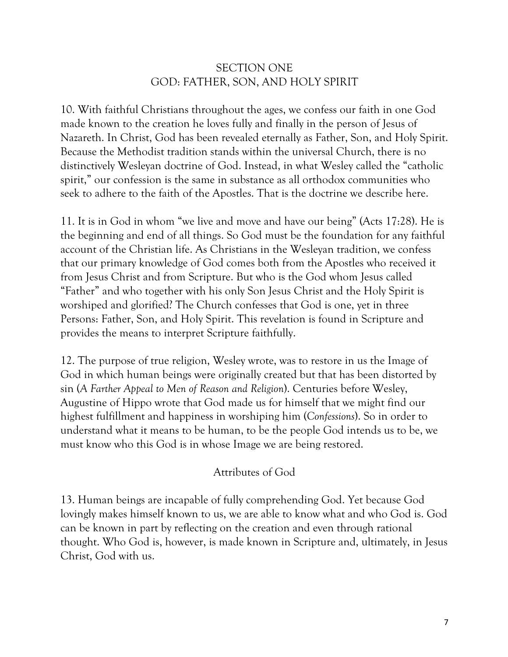# SECTION ONE GOD: FATHER, SON, AND HOLY SPIRIT

10. With faithful Christians throughout the ages, we confess our faith in one God made known to the creation he loves fully and finally in the person of Jesus of Nazareth. In Christ, God has been revealed eternally as Father, Son, and Holy Spirit. Because the Methodist tradition stands within the universal Church, there is no distinctively Wesleyan doctrine of God. Instead, in what Wesley called the "catholic spirit," our confession is the same in substance as all orthodox communities who seek to adhere to the faith of the Apostles. That is the doctrine we describe here.

11. It is in God in whom "we live and move and have our being" (Acts 17:28). He is the beginning and end of all things. So God must be the foundation for any faithful account of the Christian life. As Christians in the Wesleyan tradition, we confess that our primary knowledge of God comes both from the Apostles who received it from Jesus Christ and from Scripture. But who is the God whom Jesus called "Father" and who together with his only Son Jesus Christ and the Holy Spirit is worshiped and glorified? The Church confesses that God is one, yet in three Persons: Father, Son, and Holy Spirit. This revelation is found in Scripture and provides the means to interpret Scripture faithfully.

12. The purpose of true religion, Wesley wrote, was to restore in us the Image of God in which human beings were originally created but that has been distorted by sin (*A Farther Appeal to Men of Reason and Religion*). Centuries before Wesley, Augustine of Hippo wrote that God made us for himself that we might find our highest fulfillment and happiness in worshiping him (*Confessions*). So in order to understand what it means to be human, to be the people God intends us to be, we must know who this God is in whose Image we are being restored.

### Attributes of God

13. Human beings are incapable of fully comprehending God. Yet because God lovingly makes himself known to us, we are able to know what and who God is. God can be known in part by reflecting on the creation and even through rational thought. Who God is, however, is made known in Scripture and, ultimately, in Jesus Christ, God with us.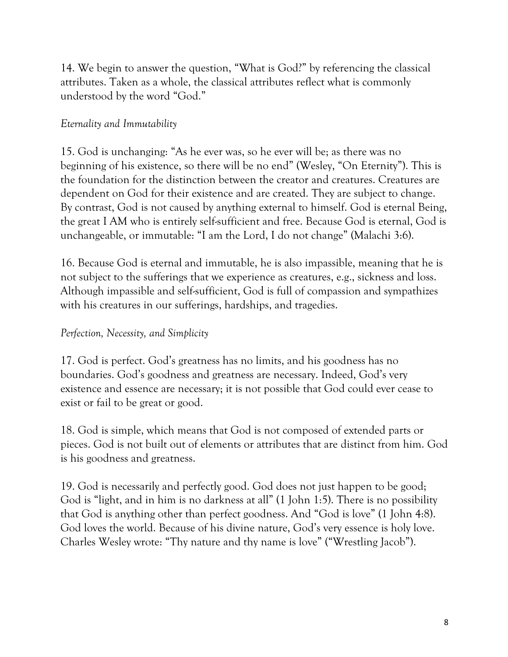14. We begin to answer the question, "What is God?" by referencing the classical attributes. Taken as a whole, the classical attributes reflect what is commonly understood by the word "God."

## *Eternality and Immutability*

15. God is unchanging: "As he ever was, so he ever will be; as there was no beginning of his existence, so there will be no end" (Wesley, "On Eternity"). This is the foundation for the distinction between the creator and creatures. Creatures are dependent on God for their existence and are created. They are subject to change. By contrast, God is not caused by anything external to himself. God is eternal Being, the great I AM who is entirely self-sufficient and free. Because God is eternal, God is unchangeable, or immutable: "I am the Lord, I do not change" (Malachi 3:6).

16. Because God is eternal and immutable, he is also impassible, meaning that he is not subject to the sufferings that we experience as creatures, e.g., sickness and loss. Although impassible and self-sufficient, God is full of compassion and sympathizes with his creatures in our sufferings, hardships, and tragedies.

# *Perfection, Necessity, and Simplicity*

17. God is perfect. God's greatness has no limits, and his goodness has no boundaries. God's goodness and greatness are necessary. Indeed, God's very existence and essence are necessary; it is not possible that God could ever cease to exist or fail to be great or good.

18. God is simple, which means that God is not composed of extended parts or pieces. God is not built out of elements or attributes that are distinct from him. God is his goodness and greatness.

19. God is necessarily and perfectly good. God does not just happen to be good; God is "light, and in him is no darkness at all" (1 John 1:5). There is no possibility that God is anything other than perfect goodness. And "God is love" (1 John 4:8). God loves the world. Because of his divine nature, God's very essence is holy love. Charles Wesley wrote: "Thy nature and thy name is love" ("Wrestling Jacob").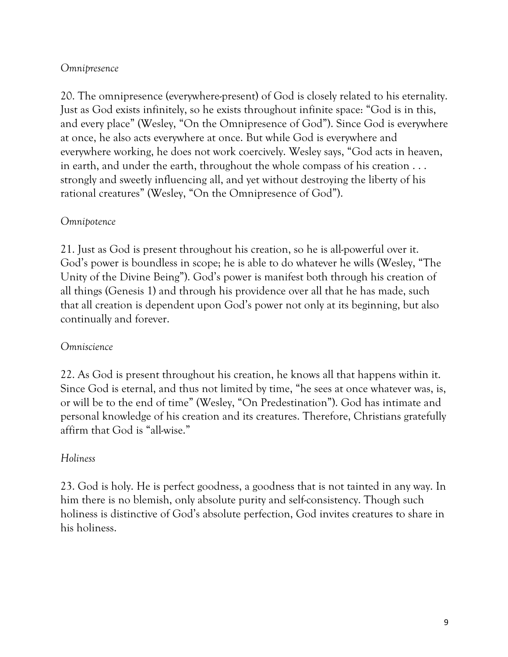## *Omnipresence*

20. The omnipresence (everywhere-present) of God is closely related to his eternality. Just as God exists infinitely, so he exists throughout infinite space: "God is in this, and every place" (Wesley, "On the Omnipresence of God"). Since God is everywhere at once, he also acts everywhere at once. But while God is everywhere and everywhere working, he does not work coercively. Wesley says, "God acts in heaven, in earth, and under the earth, throughout the whole compass of his creation . . . strongly and sweetly influencing all, and yet without destroying the liberty of his rational creatures" (Wesley, "On the Omnipresence of God").

### *Omnipotence*

21. Just as God is present throughout his creation, so he is all-powerful over it. God's power is boundless in scope; he is able to do whatever he wills (Wesley, "The Unity of the Divine Being"). God's power is manifest both through his creation of all things (Genesis 1) and through his providence over all that he has made, such that all creation is dependent upon God's power not only at its beginning, but also continually and forever.

### *Omniscience*

22. As God is present throughout his creation, he knows all that happens within it. Since God is eternal, and thus not limited by time, "he sees at once whatever was, is, or will be to the end of time" (Wesley, "On Predestination"). God has intimate and personal knowledge of his creation and its creatures. Therefore, Christians gratefully affirm that God is "all-wise."

### *Holiness*

23. God is holy. He is perfect goodness, a goodness that is not tainted in any way. In him there is no blemish, only absolute purity and self-consistency. Though such holiness is distinctive of God's absolute perfection, God invites creatures to share in his holiness.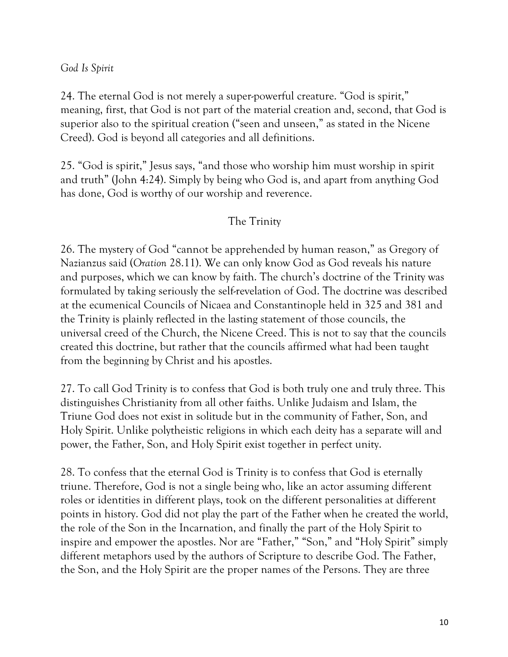*God Is Spirit*

24. The eternal God is not merely a super-powerful creature. "God is spirit," meaning, first, that God is not part of the material creation and, second, that God is superior also to the spiritual creation ("seen and unseen," as stated in the Nicene Creed). God is beyond all categories and all definitions.

25. "God is spirit," Jesus says, "and those who worship him must worship in spirit and truth" (John 4:24). Simply by being who God is, and apart from anything God has done, God is worthy of our worship and reverence.

# The Trinity

26. The mystery of God "cannot be apprehended by human reason," as Gregory of Nazianzus said (*Oration* 28.11). We can only know God as God reveals his nature and purposes, which we can know by faith. The church's doctrine of the Trinity was formulated by taking seriously the self-revelation of God. The doctrine was described at the ecumenical Councils of Nicaea and Constantinople held in 325 and 381 and the Trinity is plainly reflected in the lasting statement of those councils, the universal creed of the Church, the Nicene Creed. This is not to say that the councils created this doctrine, but rather that the councils affirmed what had been taught from the beginning by Christ and his apostles.

27. To call God Trinity is to confess that God is both truly one and truly three. This distinguishes Christianity from all other faiths. Unlike Judaism and Islam, the Triune God does not exist in solitude but in the community of Father, Son, and Holy Spirit. Unlike polytheistic religions in which each deity has a separate will and power, the Father, Son, and Holy Spirit exist together in perfect unity.

28. To confess that the eternal God is Trinity is to confess that God is eternally triune. Therefore, God is not a single being who, like an actor assuming different roles or identities in different plays, took on the different personalities at different points in history. God did not play the part of the Father when he created the world, the role of the Son in the Incarnation, and finally the part of the Holy Spirit to inspire and empower the apostles. Nor are "Father," "Son," and "Holy Spirit" simply different metaphors used by the authors of Scripture to describe God. The Father, the Son, and the Holy Spirit are the proper names of the Persons. They are three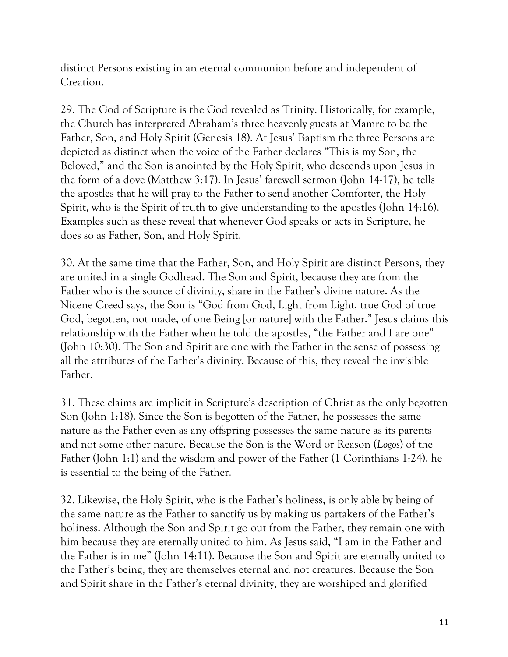distinct Persons existing in an eternal communion before and independent of Creation.

29. The God of Scripture is the God revealed as Trinity. Historically, for example, the Church has interpreted Abraham's three heavenly guests at Mamre to be the Father, Son, and Holy Spirit (Genesis 18). At Jesus' Baptism the three Persons are depicted as distinct when the voice of the Father declares "This is my Son, the Beloved," and the Son is anointed by the Holy Spirit, who descends upon Jesus in the form of a dove (Matthew 3:17). In Jesus' farewell sermon (John 14-17), he tells the apostles that he will pray to the Father to send another Comforter, the Holy Spirit, who is the Spirit of truth to give understanding to the apostles (John 14:16). Examples such as these reveal that whenever God speaks or acts in Scripture, he does so as Father, Son, and Holy Spirit.

30. At the same time that the Father, Son, and Holy Spirit are distinct Persons, they are united in a single Godhead. The Son and Spirit, because they are from the Father who is the source of divinity, share in the Father's divine nature. As the Nicene Creed says, the Son is "God from God, Light from Light, true God of true God, begotten, not made, of one Being [or nature] with the Father." Jesus claims this relationship with the Father when he told the apostles, "the Father and I are one" (John 10:30). The Son and Spirit are one with the Father in the sense of possessing all the attributes of the Father's divinity. Because of this, they reveal the invisible Father.

31. These claims are implicit in Scripture's description of Christ as the only begotten Son (John 1:18). Since the Son is begotten of the Father, he possesses the same nature as the Father even as any offspring possesses the same nature as its parents and not some other nature. Because the Son is the Word or Reason (*Logos*) of the Father (John 1:1) and the wisdom and power of the Father (1 Corinthians 1:24), he is essential to the being of the Father.

32. Likewise, the Holy Spirit, who is the Father's holiness, is only able by being of the same nature as the Father to sanctify us by making us partakers of the Father's holiness. Although the Son and Spirit go out from the Father, they remain one with him because they are eternally united to him. As Jesus said, "I am in the Father and the Father is in me" (John 14:11). Because the Son and Spirit are eternally united to the Father's being, they are themselves eternal and not creatures. Because the Son and Spirit share in the Father's eternal divinity, they are worshiped and glorified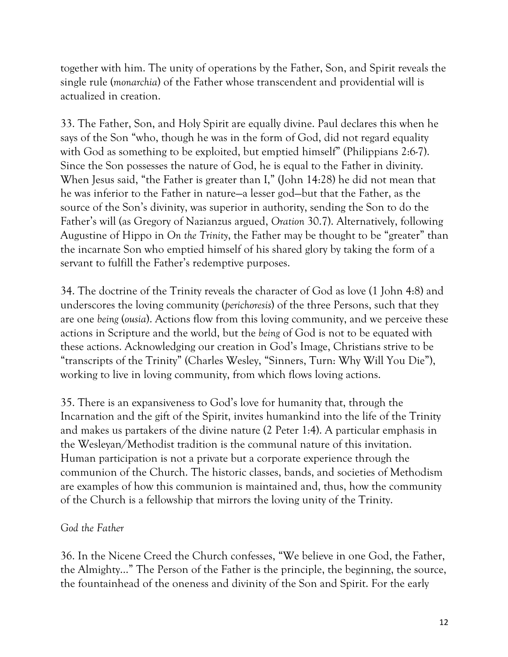together with him. The unity of operations by the Father, Son, and Spirit reveals the single rule (*monarchia*) of the Father whose transcendent and providential will is actualized in creation.

33. The Father, Son, and Holy Spirit are equally divine. Paul declares this when he says of the Son "who, though he was in the form of God, did not regard equality with God as something to be exploited, but emptied himself" (Philippians 2:6-7). Since the Son possesses the nature of God, he is equal to the Father in divinity. When Jesus said, "the Father is greater than I," (John 14:28) he did not mean that he was inferior to the Father in nature—a lesser god—but that the Father, as the source of the Son's divinity, was superior in authority, sending the Son to do the Father's will (as Gregory of Nazianzus argued, *Oration* 30.7). Alternatively, following Augustine of Hippo in *On the Trinity*, the Father may be thought to be "greater" than the incarnate Son who emptied himself of his shared glory by taking the form of a servant to fulfill the Father's redemptive purposes.

34. The doctrine of the Trinity reveals the character of God as love (1 John 4:8) and underscores the loving community (*perichoresis*) of the three Persons, such that they are one *being* (*ousia*). Actions flow from this loving community, and we perceive these actions in Scripture and the world, but the *being* of God is not to be equated with these actions. Acknowledging our creation in God's Image, Christians strive to be "transcripts of the Trinity" (Charles Wesley, "Sinners, Turn: Why Will You Die"), working to live in loving community, from which flows loving actions.

35. There is an expansiveness to God's love for humanity that, through the Incarnation and the gift of the Spirit, invites humankind into the life of the Trinity and makes us partakers of the divine nature (2 Peter 1:4). A particular emphasis in the Wesleyan/Methodist tradition is the communal nature of this invitation. Human participation is not a private but a corporate experience through the communion of the Church. The historic classes, bands, and societies of Methodism are examples of how this communion is maintained and, thus, how the community of the Church is a fellowship that mirrors the loving unity of the Trinity.

### *God the Father*

36. In the Nicene Creed the Church confesses, "We believe in one God, the Father, the Almighty..." The Person of the Father is the principle, the beginning, the source, the fountainhead of the oneness and divinity of the Son and Spirit. For the early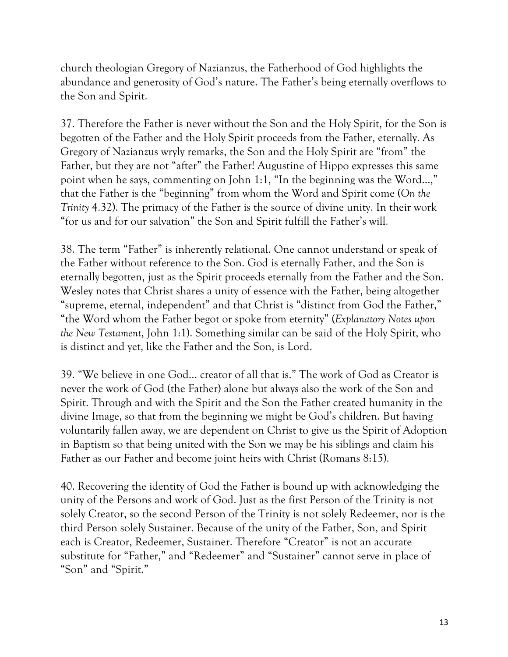church theologian Gregory of Nazianzus, the Fatherhood of God highlights the abundance and generosity of God's nature. The Father's being eternally overflows to the Son and Spirit.

37. Therefore the Father is never without the Son and the Holy Spirit, for the Son is begotten of the Father and the Holy Spirit proceeds from the Father, eternally. As Gregory of Nazianzus wryly remarks, the Son and the Holy Spirit are "from" the Father, but they are not "after" the Father! Augustine of Hippo expresses this same point when he says, commenting on John 1:1, "In the beginning was the Word…," that the Father is the "beginning" from whom the Word and Spirit come (*On the Trinity* 4.32). The primacy of the Father is the source of divine unity. In their work "for us and for our salvation" the Son and Spirit fulfill the Father's will.

38. The term "Father" is inherently relational. One cannot understand or speak of the Father without reference to the Son. God is eternally Father, and the Son is eternally begotten, just as the Spirit proceeds eternally from the Father and the Son. Wesley notes that Christ shares a unity of essence with the Father, being altogether "supreme, eternal, independent" and that Christ is "distinct from God the Father," "the Word whom the Father begot or spoke from eternity" (*Explanatory Notes upon the New Testament*, John 1:1). Something similar can be said of the Holy Spirit, who is distinct and yet, like the Father and the Son, is Lord.

39. "We believe in one God… creator of all that is." The work of God as Creator is never the work of God (the Father) alone but always also the work of the Son and Spirit. Through and with the Spirit and the Son the Father created humanity in the divine Image, so that from the beginning we might be God's children. But having voluntarily fallen away, we are dependent on Christ to give us the Spirit of Adoption in Baptism so that being united with the Son we may be his siblings and claim his Father as our Father and become joint heirs with Christ (Romans 8:15).

40. Recovering the identity of God the Father is bound up with acknowledging the unity of the Persons and work of God. Just as the first Person of the Trinity is not solely Creator, so the second Person of the Trinity is not solely Redeemer, nor is the third Person solely Sustainer. Because of the unity of the Father, Son, and Spirit each is Creator, Redeemer, Sustainer. Therefore "Creator" is not an accurate substitute for "Father," and "Redeemer" and "Sustainer" cannot serve in place of "Son" and "Spirit."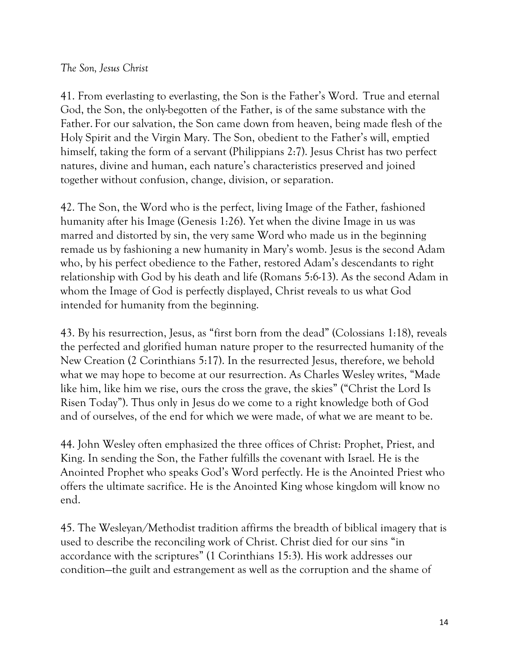## *The Son, Jesus Christ*

41. From everlasting to everlasting, the Son is the Father's Word. True and eternal God, the Son, the only-begotten of the Father, is of the same substance with the Father. For our salvation, the Son came down from heaven, being made flesh of the Holy Spirit and the Virgin Mary. The Son, obedient to the Father's will, emptied himself, taking the form of a servant (Philippians 2:7). Jesus Christ has two perfect natures, divine and human, each nature's characteristics preserved and joined together without confusion, change, division, or separation.

42. The Son, the Word who is the perfect, living Image of the Father, fashioned humanity after his Image (Genesis 1:26). Yet when the divine Image in us was marred and distorted by sin, the very same Word who made us in the beginning remade us by fashioning a new humanity in Mary's womb. Jesus is the second Adam who, by his perfect obedience to the Father, restored Adam's descendants to right relationship with God by his death and life (Romans 5:6-13). As the second Adam in whom the Image of God is perfectly displayed, Christ reveals to us what God intended for humanity from the beginning.

43. By his resurrection, Jesus, as "first born from the dead" (Colossians 1:18), reveals the perfected and glorified human nature proper to the resurrected humanity of the New Creation (2 Corinthians 5:17). In the resurrected Jesus, therefore, we behold what we may hope to become at our resurrection. As Charles Wesley writes, "Made like him, like him we rise, ours the cross the grave, the skies" ("Christ the Lord Is Risen Today"). Thus only in Jesus do we come to a right knowledge both of God and of ourselves, of the end for which we were made, of what we are meant to be.

44. John Wesley often emphasized the three offices of Christ: Prophet, Priest, and King. In sending the Son, the Father fulfills the covenant with Israel. He is the Anointed Prophet who speaks God's Word perfectly. He is the Anointed Priest who offers the ultimate sacrifice. He is the Anointed King whose kingdom will know no end.

45. The Wesleyan/Methodist tradition affirms the breadth of biblical imagery that is used to describe the reconciling work of Christ. Christ died for our sins "in accordance with the scriptures" (1 Corinthians 15:3). His work addresses our condition—the guilt and estrangement as well as the corruption and the shame of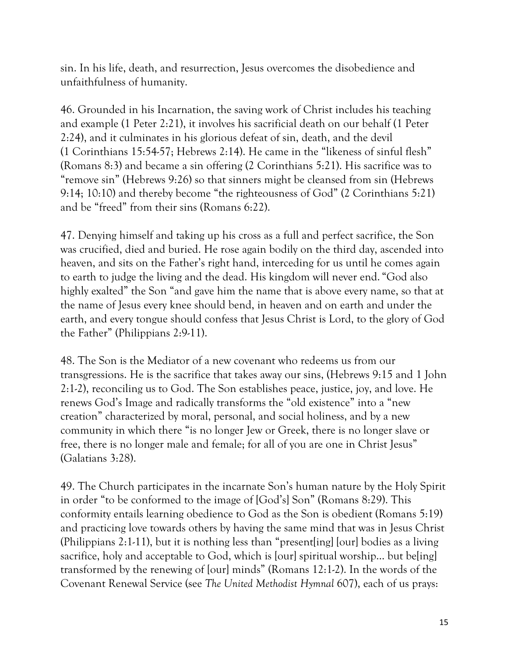sin. In his life, death, and resurrection, Jesus overcomes the disobedience and unfaithfulness of humanity.

46. Grounded in his Incarnation, the saving work of Christ includes his teaching and example (1 Peter 2:21), it involves his sacrificial death on our behalf (1 Peter 2:24), and it culminates in his glorious defeat of sin, death, and the devil (1 Corinthians 15:54-57; Hebrews 2:14). He came in the "likeness of sinful flesh" (Romans 8:3) and became a sin offering (2 Corinthians 5:21). His sacrifice was to "remove sin" (Hebrews 9:26) so that sinners might be cleansed from sin (Hebrews 9:14; 10:10) and thereby become "the righteousness of God" (2 Corinthians 5:21) and be "freed" from their sins (Romans 6:22).

47. Denying himself and taking up his cross as a full and perfect sacrifice, the Son was crucified, died and buried. He rose again bodily on the third day, ascended into heaven, and sits on the Father's right hand, interceding for us until he comes again to earth to judge the living and the dead. His kingdom will never end. "God also highly exalted" the Son "and gave him the name that is above every name, so that at the name of Jesus every knee should bend, in heaven and on earth and under the earth, and every tongue should confess that Jesus Christ is Lord, to the glory of God the Father" (Philippians 2:9-11).

48. The Son is the Mediator of a new covenant who redeems us from our transgressions. He is the sacrifice that takes away our sins, (Hebrews 9:15 and 1 John 2:1-2), reconciling us to God. The Son establishes peace, justice, joy, and love. He renews God's Image and radically transforms the "old existence" into a "new creation" characterized by moral, personal, and social holiness, and by a new community in which there "is no longer Jew or Greek, there is no longer slave or free, there is no longer male and female; for all of you are one in Christ Jesus" (Galatians 3:28).

49. The Church participates in the incarnate Son's human nature by the Holy Spirit in order "to be conformed to the image of [God's] Son" (Romans 8:29). This conformity entails learning obedience to God as the Son is obedient (Romans 5:19) and practicing love towards others by having the same mind that was in Jesus Christ (Philippians 2:1-11), but it is nothing less than "present[ing] [our] bodies as a living sacrifice, holy and acceptable to God, which is [our] spiritual worship… but be[ing] transformed by the renewing of [our] minds" (Romans 12:1-2). In the words of the Covenant Renewal Service (see *The United Methodist Hymnal* 607), each of us prays: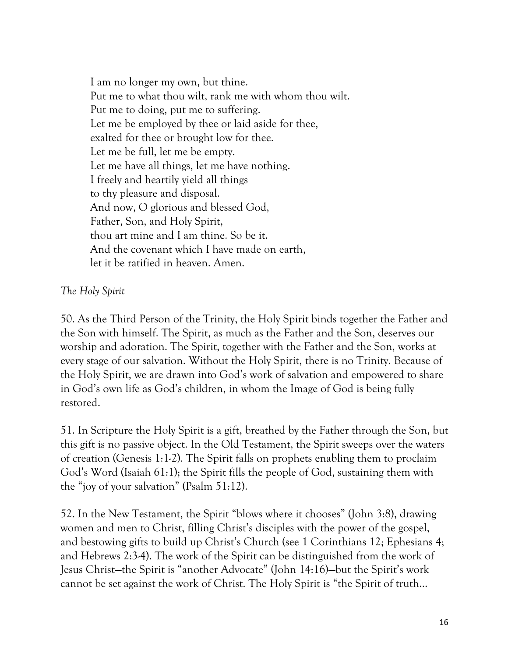I am no longer my own, but thine. Put me to what thou wilt, rank me with whom thou wilt. Put me to doing, put me to suffering. Let me be employed by thee or laid aside for thee, exalted for thee or brought low for thee. Let me be full, let me be empty. Let me have all things, let me have nothing. I freely and heartily yield all things to thy pleasure and disposal. And now, O glorious and blessed God, Father, Son, and Holy Spirit, thou art mine and I am thine. So be it. And the covenant which I have made on earth, let it be ratified in heaven. Amen.

# *The Holy Spirit*

50. As the Third Person of the Trinity, the Holy Spirit binds together the Father and the Son with himself. The Spirit, as much as the Father and the Son, deserves our worship and adoration. The Spirit, together with the Father and the Son, works at every stage of our salvation. Without the Holy Spirit, there is no Trinity. Because of the Holy Spirit, we are drawn into God's work of salvation and empowered to share in God's own life as God's children, in whom the Image of God is being fully restored.

51. In Scripture the Holy Spirit is a gift, breathed by the Father through the Son, but this gift is no passive object. In the Old Testament, the Spirit sweeps over the waters of creation (Genesis 1:1-2). The Spirit falls on prophets enabling them to proclaim God's Word (Isaiah 61:1); the Spirit fills the people of God, sustaining them with the "joy of your salvation" (Psalm 51:12).

52. In the New Testament, the Spirit "blows where it chooses" (John 3:8), drawing women and men to Christ, filling Christ's disciples with the power of the gospel, and bestowing gifts to build up Christ's Church (see 1 Corinthians 12; Ephesians 4; and Hebrews 2:3-4). The work of the Spirit can be distinguished from the work of Jesus Christ—the Spirit is "another Advocate" (John 14:16)—but the Spirit's work cannot be set against the work of Christ. The Holy Spirit is "the Spirit of truth…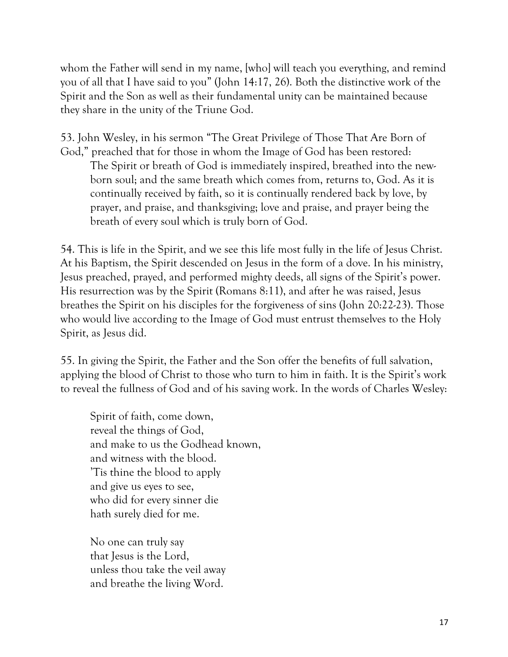whom the Father will send in my name, [who] will teach you everything, and remind you of all that I have said to you" (John 14:17, 26). Both the distinctive work of the Spirit and the Son as well as their fundamental unity can be maintained because they share in the unity of the Triune God.

53. John Wesley, in his sermon "The Great Privilege of Those That Are Born of God," preached that for those in whom the Image of God has been restored: The Spirit or breath of God is immediately inspired, breathed into the newborn soul; and the same breath which comes from, returns to, God. As it is continually received by faith, so it is continually rendered back by love, by prayer, and praise, and thanksgiving; love and praise, and prayer being the breath of every soul which is truly born of God.

54. This is life in the Spirit, and we see this life most fully in the life of Jesus Christ. At his Baptism, the Spirit descended on Jesus in the form of a dove. In his ministry, Jesus preached, prayed, and performed mighty deeds, all signs of the Spirit's power. His resurrection was by the Spirit (Romans 8:11), and after he was raised, Jesus breathes the Spirit on his disciples for the forgiveness of sins (John 20:22-23). Those who would live according to the Image of God must entrust themselves to the Holy Spirit, as Jesus did.

55. In giving the Spirit, the Father and the Son offer the benefits of full salvation, applying the blood of Christ to those who turn to him in faith. It is the Spirit's work to reveal the fullness of God and of his saving work. In the words of Charles Wesley:

Spirit of faith, come down, reveal the things of God, and make to us the Godhead known, and witness with the blood. 'Tis thine the blood to apply and give us eyes to see, who did for every sinner die hath surely died for me.

No one can truly say that Jesus is the Lord, unless thou take the veil away and breathe the living Word.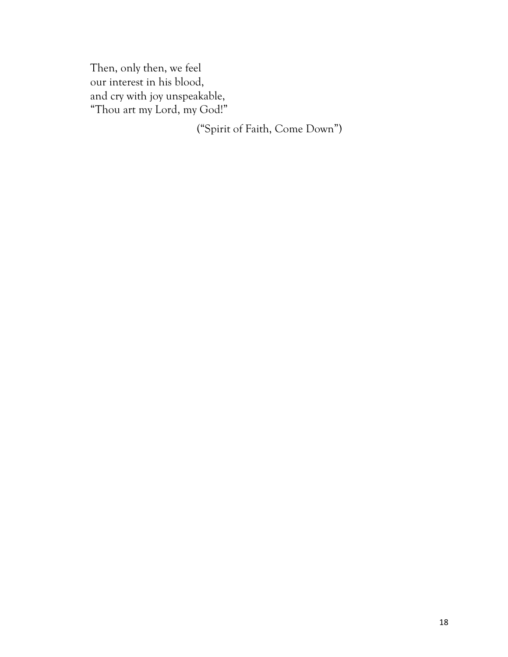Then, only then, we feel our interest in his blood, and cry with joy unspeakable, "Thou art my Lord, my God!"

("Spirit of Faith, Come Down")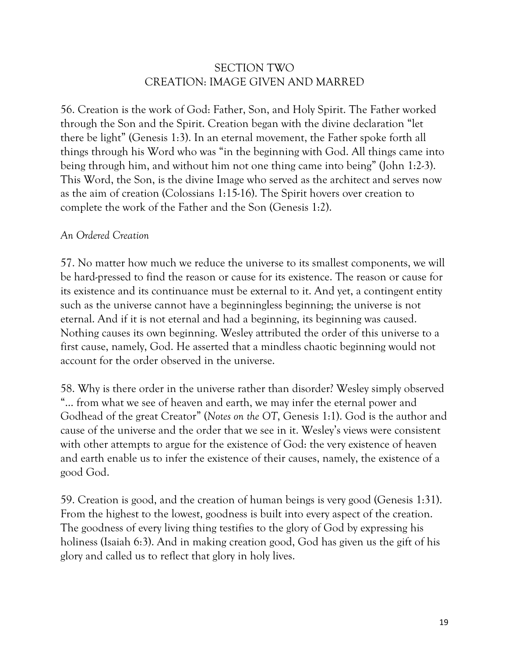# SECTION TWO CREATION: IMAGE GIVEN AND MARRED

56. Creation is the work of God: Father, Son, and Holy Spirit. The Father worked through the Son and the Spirit. Creation began with the divine declaration "let there be light" (Genesis 1:3). In an eternal movement, the Father spoke forth all things through his Word who was "in the beginning with God. All things came into being through him, and without him not one thing came into being" (John 1:2-3). This Word, the Son, is the divine Image who served as the architect and serves now as the aim of creation (Colossians 1:15-16). The Spirit hovers over creation to complete the work of the Father and the Son (Genesis 1:2).

#### *An Ordered Creation*

57. No matter how much we reduce the universe to its smallest components, we will be hard-pressed to find the reason or cause for its existence. The reason or cause for its existence and its continuance must be external to it. And yet, a contingent entity such as the universe cannot have a beginningless beginning; the universe is not eternal. And if it is not eternal and had a beginning, its beginning was caused. Nothing causes its own beginning. Wesley attributed the order of this universe to a first cause, namely, God. He asserted that a mindless chaotic beginning would not account for the order observed in the universe.

58. Why is there order in the universe rather than disorder? Wesley simply observed "… from what we see of heaven and earth, we may infer the eternal power and Godhead of the great Creator" (*Notes on the OT*, Genesis 1:1). God is the author and cause of the universe and the order that we see in it. Wesley's views were consistent with other attempts to argue for the existence of God: the very existence of heaven and earth enable us to infer the existence of their causes, namely, the existence of a good God.

59. Creation is good, and the creation of human beings is very good (Genesis 1:31). From the highest to the lowest, goodness is built into every aspect of the creation. The goodness of every living thing testifies to the glory of God by expressing his holiness (Isaiah 6:3). And in making creation good, God has given us the gift of his glory and called us to reflect that glory in holy lives.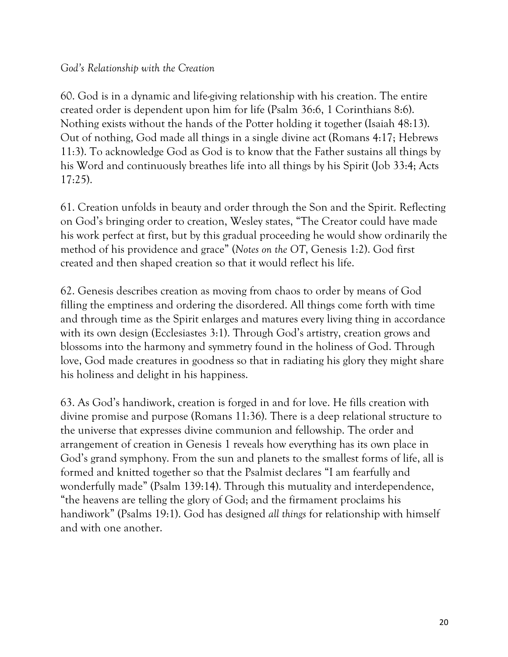### *God's Relationship with the Creation*

60. God is in a dynamic and life-giving relationship with his creation. The entire created order is dependent upon him for life (Psalm 36:6, 1 Corinthians 8:6). Nothing exists without the hands of the Potter holding it together (Isaiah 48:13). Out of nothing, God made all things in a single divine act (Romans 4:17; Hebrews 11:3). To acknowledge God as God is to know that the Father sustains all things by his Word and continuously breathes life into all things by his Spirit (Job 33:4; Acts 17:25).

61. Creation unfolds in beauty and order through the Son and the Spirit. Reflecting on God's bringing order to creation, Wesley states, "The Creator could have made his work perfect at first, but by this gradual proceeding he would show ordinarily the method of his providence and grace" (*Notes on the OT*, Genesis 1:2). God first created and then shaped creation so that it would reflect his life.

62. Genesis describes creation as moving from chaos to order by means of God filling the emptiness and ordering the disordered. All things come forth with time and through time as the Spirit enlarges and matures every living thing in accordance with its own design (Ecclesiastes 3:1). Through God's artistry, creation grows and blossoms into the harmony and symmetry found in the holiness of God. Through love, God made creatures in goodness so that in radiating his glory they might share his holiness and delight in his happiness.

63. As God's handiwork, creation is forged in and for love. He fills creation with divine promise and purpose (Romans 11:36). There is a deep relational structure to the universe that expresses divine communion and fellowship. The order and arrangement of creation in Genesis 1 reveals how everything has its own place in God's grand symphony. From the sun and planets to the smallest forms of life, all is formed and knitted together so that the Psalmist declares "I am fearfully and wonderfully made" (Psalm 139:14). Through this mutuality and interdependence, "the heavens are telling the glory of God; and the firmament proclaims his handiwork" (Psalms 19:1). God has designed *all things* for relationship with himself and with one another.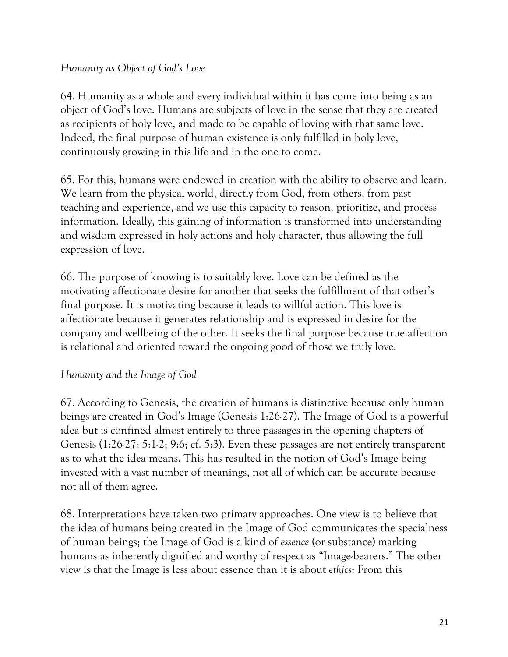## *Humanity as Object of God's Love*

64. Humanity as a whole and every individual within it has come into being as an object of God's love. Humans are subjects of love in the sense that they are created as recipients of holy love, and made to be capable of loving with that same love. Indeed, the final purpose of human existence is only fulfilled in holy love, continuously growing in this life and in the one to come.

65. For this, humans were endowed in creation with the ability to observe and learn. We learn from the physical world, directly from God, from others, from past teaching and experience, and we use this capacity to reason, prioritize, and process information. Ideally, this gaining of information is transformed into understanding and wisdom expressed in holy actions and holy character, thus allowing the full expression of love.

66. The purpose of knowing is to suitably love. Love can be defined as the motivating affectionate desire for another that seeks the fulfillment of that other's final purpose*.* It is motivating because it leads to willful action. This love is affectionate because it generates relationship and is expressed in desire for the company and wellbeing of the other. It seeks the final purpose because true affection is relational and oriented toward the ongoing good of those we truly love.

### *Humanity and the Image of God*

67. According to Genesis, the creation of humans is distinctive because only human beings are created in God's Image (Genesis 1:26-27). The Image of God is a powerful idea but is confined almost entirely to three passages in the opening chapters of Genesis (1:26-27; 5:1-2; 9:6; cf. 5:3). Even these passages are not entirely transparent as to what the idea means. This has resulted in the notion of God's Image being invested with a vast number of meanings, not all of which can be accurate because not all of them agree.

68. Interpretations have taken two primary approaches. One view is to believe that the idea of humans being created in the Image of God communicates the specialness of human beings; the Image of God is a kind of *essence* (or substance) marking humans as inherently dignified and worthy of respect as "Image-bearers." The other view is that the Image is less about essence than it is about *ethics*: From this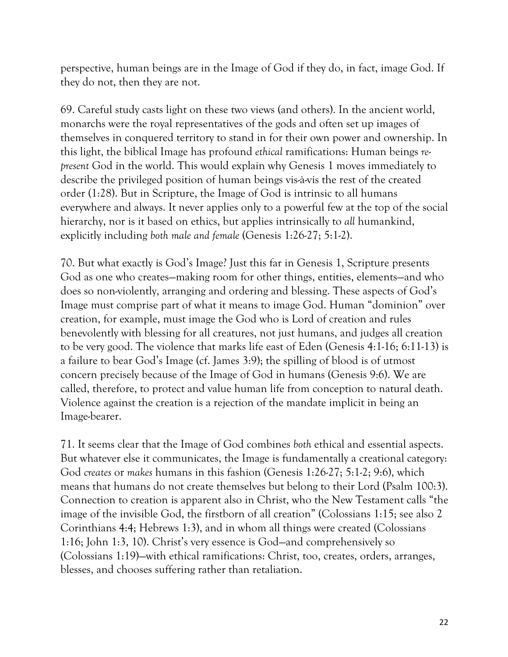perspective, human beings are in the Image of God if they do, in fact, image God. If they do not, then they are not.

69. Careful study casts light on these two views (and others). In the ancient world, monarchs were the royal representatives of the gods and often set up images of themselves in conquered territory to stand in for their own power and ownership. In this light, the biblical Image has profound *ethical* ramifications: Human beings *represent* God in the world. This would explain why Genesis 1 moves immediately to describe the privileged position of human beings vis-à-vis the rest of the created order (1:28). But in Scripture, the Image of God is intrinsic to all humans everywhere and always. It never applies only to a powerful few at the top of the social hierarchy, nor is it based on ethics, but applies intrinsically to *all* humankind, explicitly including *both male and female* (Genesis 1:26-27; 5:1-2).

70. But what exactly is God's Image? Just this far in Genesis 1, Scripture presents God as one who creates—making room for other things, entities, elements—and who does so non-violently, arranging and ordering and blessing. These aspects of God's Image must comprise part of what it means to image God. Human "dominion" over creation, for example, must image the God who is Lord of creation and rules benevolently with blessing for all creatures, not just humans, and judges all creation to be very good. The violence that marks life east of Eden (Genesis 4:1-16; 6:11-13) is a failure to bear God's Image (cf. James 3:9); the spilling of blood is of utmost concern precisely because of the Image of God in humans (Genesis 9:6). We are called, therefore, to protect and value human life from conception to natural death. Violence against the creation is a rejection of the mandate implicit in being an Image-bearer.

71. It seems clear that the Image of God combines *both* ethical and essential aspects. But whatever else it communicates, the Image is fundamentally a creational category: God *creates* or *makes* humans in this fashion (Genesis 1:26-27; 5:1-2; 9:6), which means that humans do not create themselves but belong to their Lord (Psalm 100:3). Connection to creation is apparent also in Christ, who the New Testament calls "the image of the invisible God, the firstborn of all creation" (Colossians 1:15; see also 2 Corinthians 4:4; Hebrews 1:3), and in whom all things were created (Colossians 1:16; John 1:3, 10). Christ's very essence is God—and comprehensively so (Colossians 1:19)—with ethical ramifications: Christ, too, creates, orders, arranges, blesses, and chooses suffering rather than retaliation.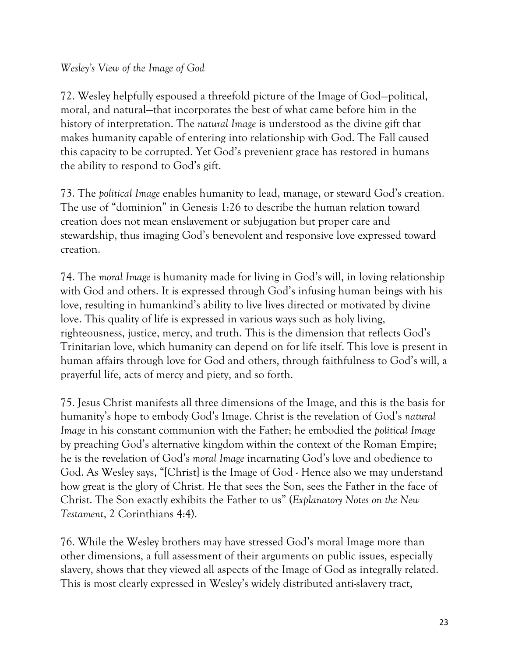## *Wesley's View of the Image of God*

72. Wesley helpfully espoused a threefold picture of the Image of God—political, moral, and natural—that incorporates the best of what came before him in the history of interpretation. The *natural Image* is understood as the divine gift that makes humanity capable of entering into relationship with God. The Fall caused this capacity to be corrupted. Yet God's prevenient grace has restored in humans the ability to respond to God's gift.

73. The *political Image* enables humanity to lead, manage, or steward God's creation. The use of "dominion" in Genesis 1:26 to describe the human relation toward creation does not mean enslavement or subjugation but proper care and stewardship, thus imaging God's benevolent and responsive love expressed toward creation.

74. The *moral Image* is humanity made for living in God's will, in loving relationship with God and others. It is expressed through God's infusing human beings with his love, resulting in humankind's ability to live lives directed or motivated by divine love. This quality of life is expressed in various ways such as holy living, righteousness, justice, mercy, and truth. This is the dimension that reflects God's Trinitarian love, which humanity can depend on for life itself. This love is present in human affairs through love for God and others, through faithfulness to God's will, a prayerful life, acts of mercy and piety, and so forth.

75. Jesus Christ manifests all three dimensions of the Image, and this is the basis for humanity's hope to embody God's Image. Christ is the revelation of God's *natural Image* in his constant communion with the Father; he embodied the *political Image* by preaching God's alternative kingdom within the context of the Roman Empire; he is the revelation of God's *moral Image* incarnating God's love and obedience to God. As Wesley says, "[Christ] is the Image of God - Hence also we may understand how great is the glory of Christ. He that sees the Son, sees the Father in the face of Christ. The Son exactly exhibits the Father to us" (*Explanatory Notes on the New Testament*, 2 Corinthians 4:4).

76. While the Wesley brothers may have stressed God's moral Image more than other dimensions, a full assessment of their arguments on public issues, especially slavery, shows that they viewed all aspects of the Image of God as integrally related. This is most clearly expressed in Wesley's widely distributed anti-slavery tract,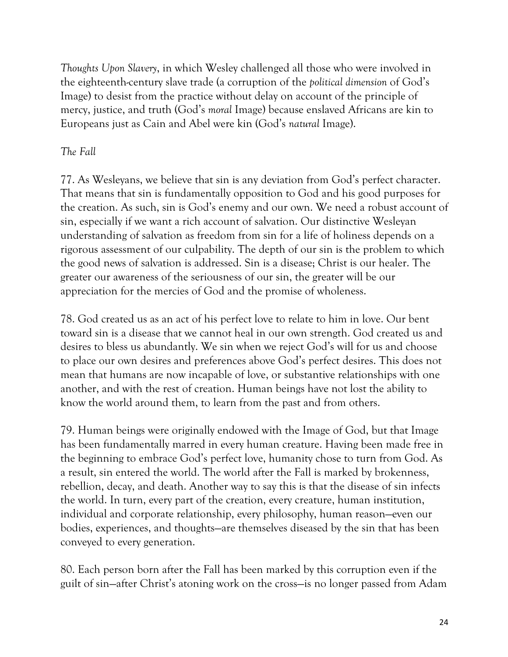*Thoughts Upon Slavery*, in which Wesley challenged all those who were involved in the eighteenth-century slave trade (a corruption of the *political dimension* of God's Image) to desist from the practice without delay on account of the principle of mercy, justice, and truth (God's *moral* Image) because enslaved Africans are kin to Europeans just as Cain and Abel were kin (God's *natural* Image).

# *The Fall*

77. As Wesleyans, we believe that sin is any deviation from God's perfect character. That means that sin is fundamentally opposition to God and his good purposes for the creation. As such, sin is God's enemy and our own. We need a robust account of sin, especially if we want a rich account of salvation. Our distinctive Wesleyan understanding of salvation as freedom from sin for a life of holiness depends on a rigorous assessment of our culpability. The depth of our sin is the problem to which the good news of salvation is addressed. Sin is a disease; Christ is our healer. The greater our awareness of the seriousness of our sin, the greater will be our appreciation for the mercies of God and the promise of wholeness.

78. God created us as an act of his perfect love to relate to him in love. Our bent toward sin is a disease that we cannot heal in our own strength. God created us and desires to bless us abundantly. We sin when we reject God's will for us and choose to place our own desires and preferences above God's perfect desires. This does not mean that humans are now incapable of love, or substantive relationships with one another, and with the rest of creation. Human beings have not lost the ability to know the world around them, to learn from the past and from others.

79. Human beings were originally endowed with the Image of God, but that Image has been fundamentally marred in every human creature. Having been made free in the beginning to embrace God's perfect love, humanity chose to turn from God. As a result, sin entered the world. The world after the Fall is marked by brokenness, rebellion, decay, and death. Another way to say this is that the disease of sin infects the world. In turn, every part of the creation, every creature, human institution, individual and corporate relationship, every philosophy, human reason—even our bodies, experiences, and thoughts—are themselves diseased by the sin that has been conveyed to every generation.

80. Each person born after the Fall has been marked by this corruption even if the guilt of sin—after Christ's atoning work on the cross—is no longer passed from Adam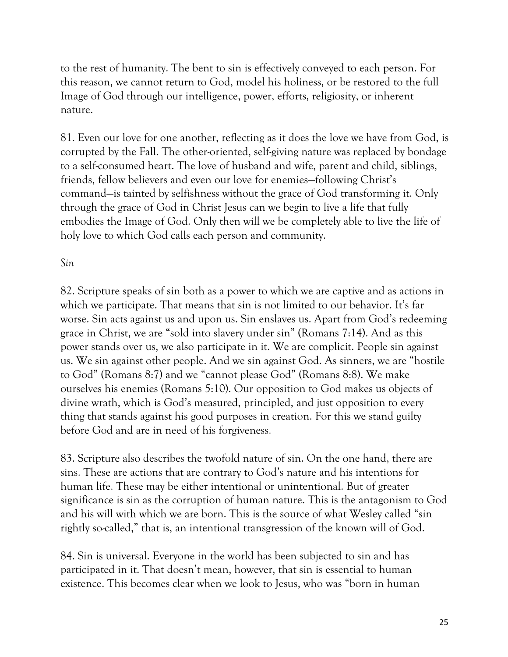to the rest of humanity. The bent to sin is effectively conveyed to each person. For this reason, we cannot return to God, model his holiness, or be restored to the full Image of God through our intelligence, power, efforts, religiosity, or inherent nature.

81. Even our love for one another, reflecting as it does the love we have from God, is corrupted by the Fall. The other-oriented, self-giving nature was replaced by bondage to a self-consumed heart. The love of husband and wife, parent and child, siblings, friends, fellow believers and even our love for enemies—following Christ's command—is tainted by selfishness without the grace of God transforming it. Only through the grace of God in Christ Jesus can we begin to live a life that fully embodies the Image of God. Only then will we be completely able to live the life of holy love to which God calls each person and community.

## *Sin*

82. Scripture speaks of sin both as a power to which we are captive and as actions in which we participate. That means that sin is not limited to our behavior. It's far worse. Sin acts against us and upon us. Sin enslaves us. Apart from God's redeeming grace in Christ, we are "sold into slavery under sin" (Romans 7:14). And as this power stands over us, we also participate in it. We are complicit. People sin against us. We sin against other people. And we sin against God. As sinners, we are "hostile to God" (Romans 8:7) and we "cannot please God" (Romans 8:8). We make ourselves his enemies (Romans 5:10). Our opposition to God makes us objects of divine wrath, which is God's measured, principled, and just opposition to every thing that stands against his good purposes in creation. For this we stand guilty before God and are in need of his forgiveness.

83. Scripture also describes the twofold nature of sin. On the one hand, there are sins. These are actions that are contrary to God's nature and his intentions for human life. These may be either intentional or unintentional. But of greater significance is sin as the corruption of human nature. This is the antagonism to God and his will with which we are born. This is the source of what Wesley called "sin rightly so-called," that is, an intentional transgression of the known will of God.

84. Sin is universal. Everyone in the world has been subjected to sin and has participated in it. That doesn't mean, however, that sin is essential to human existence. This becomes clear when we look to Jesus, who was "born in human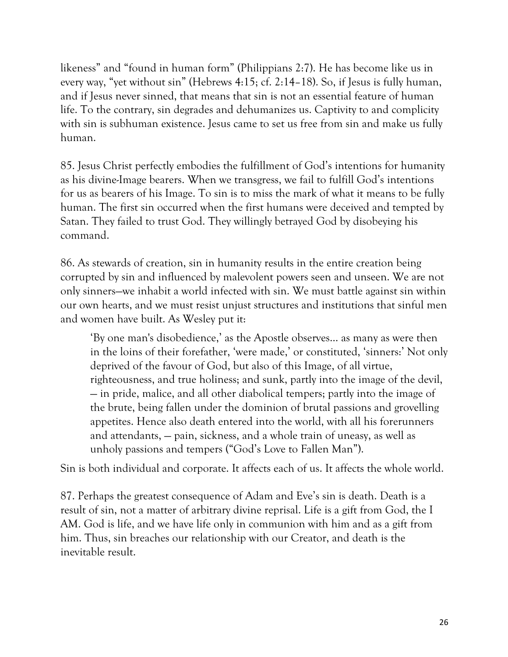likeness" and "found in human form" (Philippians 2:7). He has become like us in every way, "yet without sin" (Hebrews 4:15; cf. 2:14–18). So, if Jesus is fully human, and if Jesus never sinned, that means that sin is not an essential feature of human life. To the contrary, sin degrades and dehumanizes us. Captivity to and complicity with sin is subhuman existence. Jesus came to set us free from sin and make us fully human.

85. Jesus Christ perfectly embodies the fulfillment of God's intentions for humanity as his divine-Image bearers. When we transgress, we fail to fulfill God's intentions for us as bearers of his Image. To sin is to miss the mark of what it means to be fully human. The first sin occurred when the first humans were deceived and tempted by Satan. They failed to trust God. They willingly betrayed God by disobeying his command.

86. As stewards of creation, sin in humanity results in the entire creation being corrupted by sin and influenced by malevolent powers seen and unseen. We are not only sinners—we inhabit a world infected with sin. We must battle against sin within our own hearts, and we must resist unjust structures and institutions that sinful men and women have built. As Wesley put it:

'By one man's disobedience,' as the Apostle observes… as many as were then in the loins of their forefather, 'were made,' or constituted, 'sinners:' Not only deprived of the favour of God, but also of this Image, of all virtue, righteousness, and true holiness; and sunk, partly into the image of the devil, — in pride, malice, and all other diabolical tempers; partly into the image of the brute, being fallen under the dominion of brutal passions and grovelling appetites. Hence also death entered into the world, with all his forerunners and attendants, — pain, sickness, and a whole train of uneasy, as well as unholy passions and tempers ("God's Love to Fallen Man").

Sin is both individual and corporate. It affects each of us. It affects the whole world.

87. Perhaps the greatest consequence of Adam and Eve's sin is death. Death is a result of sin, not a matter of arbitrary divine reprisal. Life is a gift from God, the I AM. God is life, and we have life only in communion with him and as a gift from him. Thus, sin breaches our relationship with our Creator, and death is the inevitable result.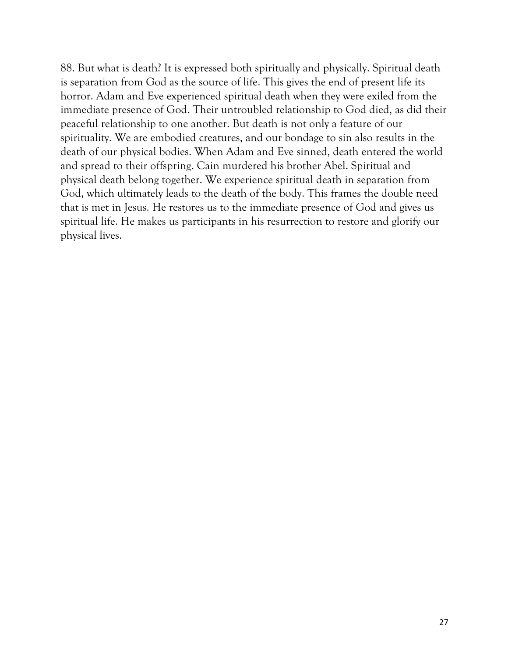88. But what is death? It is expressed both spiritually and physically. Spiritual death is separation from God as the source of life. This gives the end of present life its horror. Adam and Eve experienced spiritual death when they were exiled from the immediate presence of God. Their untroubled relationship to God died, as did their peaceful relationship to one another. But death is not only a feature of our spirituality. We are embodied creatures, and our bondage to sin also results in the death of our physical bodies. When Adam and Eve sinned, death entered the world and spread to their offspring. Cain murdered his brother Abel. Spiritual and physical death belong together. We experience spiritual death in separation from God, which ultimately leads to the death of the body. This frames the double need that is met in Jesus. He restores us to the immediate presence of God and gives us spiritual life. He makes us participants in his resurrection to restore and glorify our physical lives.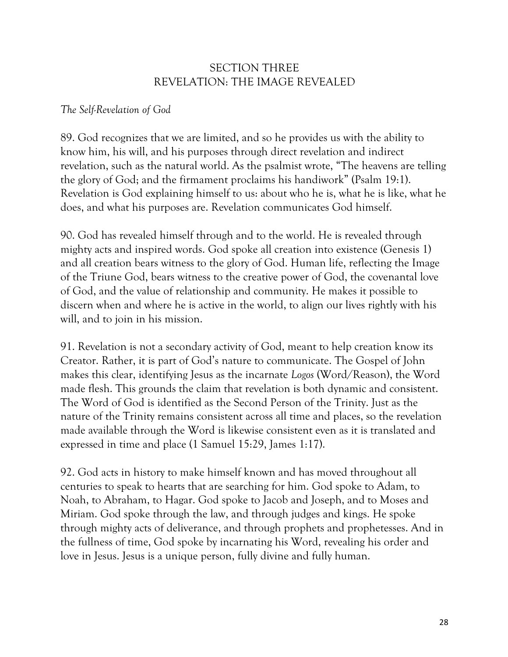## SECTION THREE REVELATION: THE IMAGE REVEALED

### *The Self-Revelation of God*

89. God recognizes that we are limited, and so he provides us with the ability to know him, his will, and his purposes through direct revelation and indirect revelation, such as the natural world. As the psalmist wrote, "The heavens are telling the glory of God; and the firmament proclaims his handiwork" (Psalm 19:1). Revelation is God explaining himself to us: about who he is, what he is like, what he does, and what his purposes are. Revelation communicates God himself.

90. God has revealed himself through and to the world. He is revealed through mighty acts and inspired words. God spoke all creation into existence (Genesis 1) and all creation bears witness to the glory of God. Human life, reflecting the Image of the Triune God, bears witness to the creative power of God, the covenantal love of God, and the value of relationship and community. He makes it possible to discern when and where he is active in the world, to align our lives rightly with his will, and to join in his mission.

91. Revelation is not a secondary activity of God, meant to help creation know its Creator. Rather, it is part of God's nature to communicate. The Gospel of John makes this clear, identifying Jesus as the incarnate *Logos* (Word/Reason), the Word made flesh. This grounds the claim that revelation is both dynamic and consistent. The Word of God is identified as the Second Person of the Trinity. Just as the nature of the Trinity remains consistent across all time and places, so the revelation made available through the Word is likewise consistent even as it is translated and expressed in time and place (1 Samuel 15:29, James 1:17).

92. God acts in history to make himself known and has moved throughout all centuries to speak to hearts that are searching for him. God spoke to Adam, to Noah, to Abraham, to Hagar. God spoke to Jacob and Joseph, and to Moses and Miriam. God spoke through the law, and through judges and kings. He spoke through mighty acts of deliverance, and through prophets and prophetesses. And in the fullness of time, God spoke by incarnating his Word, revealing his order and love in Jesus. Jesus is a unique person, fully divine and fully human.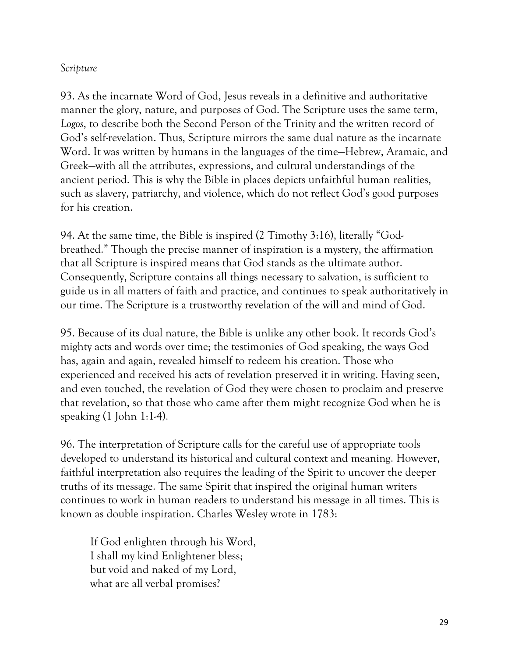### *Scripture*

93. As the incarnate Word of God, Jesus reveals in a definitive and authoritative manner the glory, nature, and purposes of God. The Scripture uses the same term, *Logos*, to describe both the Second Person of the Trinity and the written record of God's self-revelation. Thus, Scripture mirrors the same dual nature as the incarnate Word. It was written by humans in the languages of the time—Hebrew, Aramaic, and Greek—with all the attributes, expressions, and cultural understandings of the ancient period. This is why the Bible in places depicts unfaithful human realities, such as slavery, patriarchy, and violence, which do not reflect God's good purposes for his creation.

94. At the same time, the Bible is inspired (2 Timothy 3:16), literally "Godbreathed." Though the precise manner of inspiration is a mystery, the affirmation that all Scripture is inspired means that God stands as the ultimate author. Consequently, Scripture contains all things necessary to salvation, is sufficient to guide us in all matters of faith and practice, and continues to speak authoritatively in our time. The Scripture is a trustworthy revelation of the will and mind of God.

95. Because of its dual nature, the Bible is unlike any other book. It records God's mighty acts and words over time; the testimonies of God speaking, the ways God has, again and again, revealed himself to redeem his creation. Those who experienced and received his acts of revelation preserved it in writing. Having seen, and even touched, the revelation of God they were chosen to proclaim and preserve that revelation, so that those who came after them might recognize God when he is speaking (1 John 1:1-4).

96. The interpretation of Scripture calls for the careful use of appropriate tools developed to understand its historical and cultural context and meaning. However, faithful interpretation also requires the leading of the Spirit to uncover the deeper truths of its message. The same Spirit that inspired the original human writers continues to work in human readers to understand his message in all times. This is known as double inspiration. Charles Wesley wrote in 1783:

If God enlighten through his Word, I shall my kind Enlightener bless; but void and naked of my Lord, what are all verbal promises?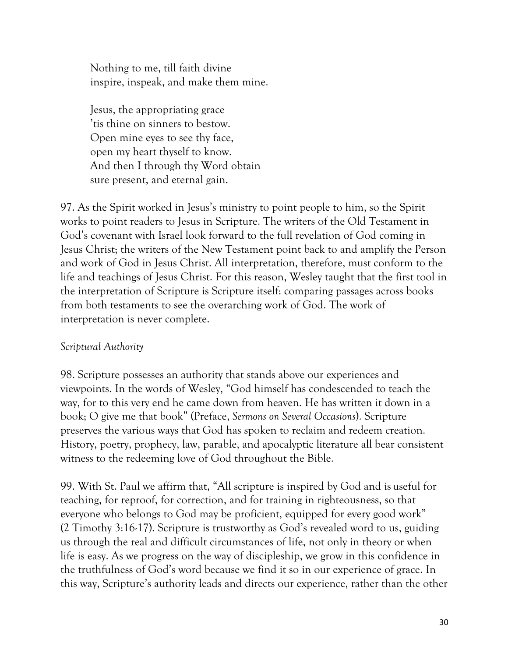Nothing to me, till faith divine inspire, inspeak, and make them mine.

Jesus, the appropriating grace 'tis thine on sinners to bestow. Open mine eyes to see thy face, open my heart thyself to know. And then I through thy Word obtain sure present, and eternal gain.

97. As the Spirit worked in Jesus's ministry to point people to him, so the Spirit works to point readers to Jesus in Scripture. The writers of the Old Testament in God's covenant with Israel look forward to the full revelation of God coming in Jesus Christ; the writers of the New Testament point back to and amplify the Person and work of God in Jesus Christ. All interpretation, therefore, must conform to the life and teachings of Jesus Christ. For this reason, Wesley taught that the first tool in the interpretation of Scripture is Scripture itself: comparing passages across books from both testaments to see the overarching work of God. The work of interpretation is never complete.

### *Scriptural Authority*

98. Scripture possesses an authority that stands above our experiences and viewpoints. In the words of Wesley, "God himself has condescended to teach the way, for to this very end he came down from heaven. He has written it down in a book; O give me that book" (Preface, *Sermons on Several Occasions*). Scripture preserves the various ways that God has spoken to reclaim and redeem creation. History, poetry, prophecy, law, parable, and apocalyptic literature all bear consistent witness to the redeeming love of God throughout the Bible.

99. With St. Paul we affirm that, "All scripture is inspired by God and is useful for teaching, for reproof, for correction, and for training in righteousness, so that everyone who belongs to God may be proficient, equipped for every good work" (2 Timothy 3:16-17). Scripture is trustworthy as God's revealed word to us, guiding us through the real and difficult circumstances of life, not only in theory or when life is easy. As we progress on the way of discipleship, we grow in this confidence in the truthfulness of God's word because we find it so in our experience of grace. In this way, Scripture's authority leads and directs our experience, rather than the other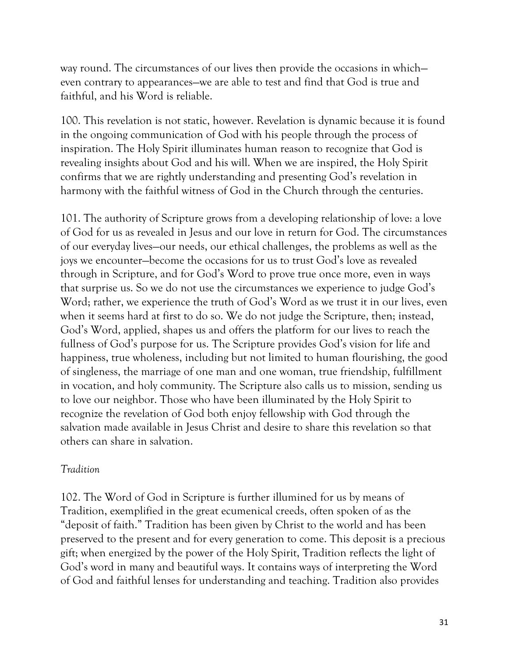way round. The circumstances of our lives then provide the occasions in which even contrary to appearances—we are able to test and find that God is true and faithful, and his Word is reliable.

100. This revelation is not static, however. Revelation is dynamic because it is found in the ongoing communication of God with his people through the process of inspiration. The Holy Spirit illuminates human reason to recognize that God is revealing insights about God and his will. When we are inspired, the Holy Spirit confirms that we are rightly understanding and presenting God's revelation in harmony with the faithful witness of God in the Church through the centuries.

101. The authority of Scripture grows from a developing relationship of love: a love of God for us as revealed in Jesus and our love in return for God. The circumstances of our everyday lives—our needs, our ethical challenges, the problems as well as the joys we encounter—become the occasions for us to trust God's love as revealed through in Scripture, and for God's Word to prove true once more, even in ways that surprise us. So we do not use the circumstances we experience to judge God's Word; rather, we experience the truth of God's Word as we trust it in our lives, even when it seems hard at first to do so. We do not judge the Scripture, then; instead, God's Word, applied, shapes us and offers the platform for our lives to reach the fullness of God's purpose for us. The Scripture provides God's vision for life and happiness, true wholeness, including but not limited to human flourishing, the good of singleness, the marriage of one man and one woman, true friendship, fulfillment in vocation, and holy community. The Scripture also calls us to mission, sending us to love our neighbor. Those who have been illuminated by the Holy Spirit to recognize the revelation of God both enjoy fellowship with God through the salvation made available in Jesus Christ and desire to share this revelation so that others can share in salvation.

#### *Tradition*

102. The Word of God in Scripture is further illumined for us by means of Tradition, exemplified in the great ecumenical creeds, often spoken of as the "deposit of faith." Tradition has been given by Christ to the world and has been preserved to the present and for every generation to come. This deposit is a precious gift; when energized by the power of the Holy Spirit, Tradition reflects the light of God's word in many and beautiful ways. It contains ways of interpreting the Word of God and faithful lenses for understanding and teaching. Tradition also provides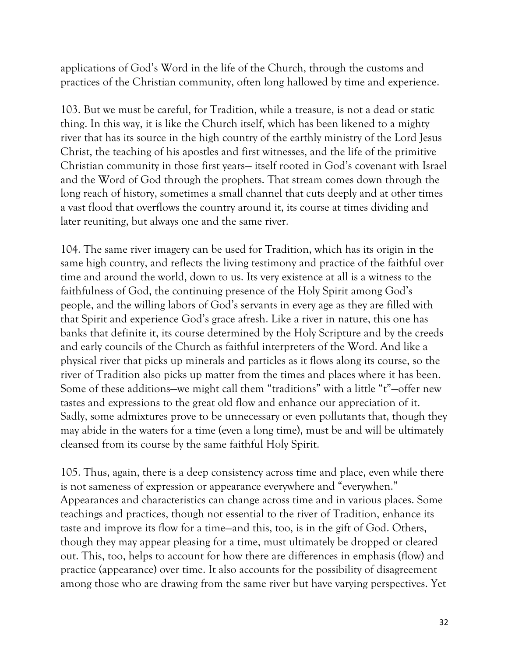applications of God's Word in the life of the Church, through the customs and practices of the Christian community, often long hallowed by time and experience.

103. But we must be careful, for Tradition, while a treasure, is not a dead or static thing. In this way, it is like the Church itself, which has been likened to a mighty river that has its source in the high country of the earthly ministry of the Lord Jesus Christ, the teaching of his apostles and first witnesses, and the life of the primitive Christian community in those first years— itself rooted in God's covenant with Israel and the Word of God through the prophets. That stream comes down through the long reach of history, sometimes a small channel that cuts deeply and at other times a vast flood that overflows the country around it, its course at times dividing and later reuniting, but always one and the same river.

104. The same river imagery can be used for Tradition, which has its origin in the same high country, and reflects the living testimony and practice of the faithful over time and around the world, down to us. Its very existence at all is a witness to the faithfulness of God, the continuing presence of the Holy Spirit among God's people, and the willing labors of God's servants in every age as they are filled with that Spirit and experience God's grace afresh. Like a river in nature, this one has banks that definite it, its course determined by the Holy Scripture and by the creeds and early councils of the Church as faithful interpreters of the Word. And like a physical river that picks up minerals and particles as it flows along its course, so the river of Tradition also picks up matter from the times and places where it has been. Some of these additions—we might call them "traditions" with a little "t"—offer new tastes and expressions to the great old flow and enhance our appreciation of it. Sadly, some admixtures prove to be unnecessary or even pollutants that, though they may abide in the waters for a time (even a long time), must be and will be ultimately cleansed from its course by the same faithful Holy Spirit.

105. Thus, again, there is a deep consistency across time and place, even while there is not sameness of expression or appearance everywhere and "everywhen." Appearances and characteristics can change across time and in various places. Some teachings and practices, though not essential to the river of Tradition, enhance its taste and improve its flow for a time—and this, too, is in the gift of God. Others, though they may appear pleasing for a time, must ultimately be dropped or cleared out. This, too, helps to account for how there are differences in emphasis (flow) and practice (appearance) over time. It also accounts for the possibility of disagreement among those who are drawing from the same river but have varying perspectives. Yet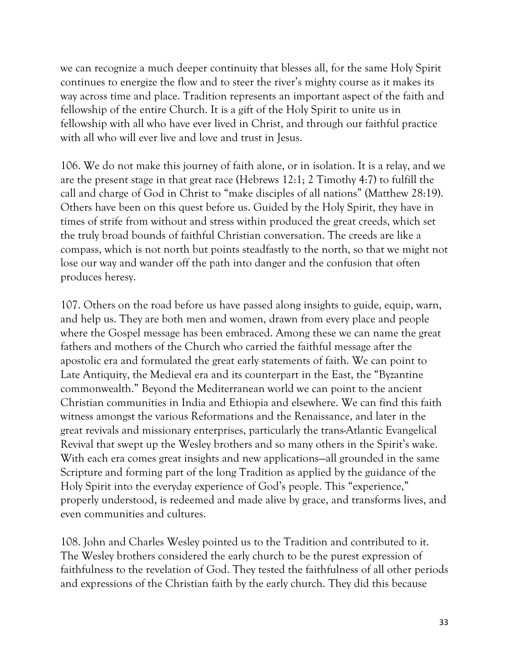we can recognize a much deeper continuity that blesses all, for the same Holy Spirit continues to energize the flow and to steer the river's mighty course as it makes its way across time and place. Tradition represents an important aspect of the faith and fellowship of the entire Church. It is a gift of the Holy Spirit to unite us in fellowship with all who have ever lived in Christ, and through our faithful practice with all who will ever live and love and trust in Jesus.

106. We do not make this journey of faith alone, or in isolation. It is a relay, and we are the present stage in that great race (Hebrews 12:1; 2 Timothy 4:7) to fulfill the call and charge of God in Christ to "make disciples of all nations" (Matthew 28:19). Others have been on this quest before us. Guided by the Holy Spirit, they have in times of strife from without and stress within produced the great creeds, which set the truly broad bounds of faithful Christian conversation. The creeds are like a compass, which is not north but points steadfastly to the north, so that we might not lose our way and wander off the path into danger and the confusion that often produces heresy.

107. Others on the road before us have passed along insights to guide, equip, warn, and help us. They are both men and women, drawn from every place and people where the Gospel message has been embraced. Among these we can name the great fathers and mothers of the Church who carried the faithful message after the apostolic era and formulated the great early statements of faith. We can point to Late Antiquity, the Medieval era and its counterpart in the East, the "Byzantine commonwealth." Beyond the Mediterranean world we can point to the ancient Christian communities in India and Ethiopia and elsewhere. We can find this faith witness amongst the various Reformations and the Renaissance, and later in the great revivals and missionary enterprises, particularly the trans-Atlantic Evangelical Revival that swept up the Wesley brothers and so many others in the Spirit's wake. With each era comes great insights and new applications—all grounded in the same Scripture and forming part of the long Tradition as applied by the guidance of the Holy Spirit into the everyday experience of God's people. This "experience," properly understood, is redeemed and made alive by grace, and transforms lives, and even communities and cultures.

108. John and Charles Wesley pointed us to the Tradition and contributed to it. The Wesley brothers considered the early church to be the purest expression of faithfulness to the revelation of God. They tested the faithfulness of all other periods and expressions of the Christian faith by the early church. They did this because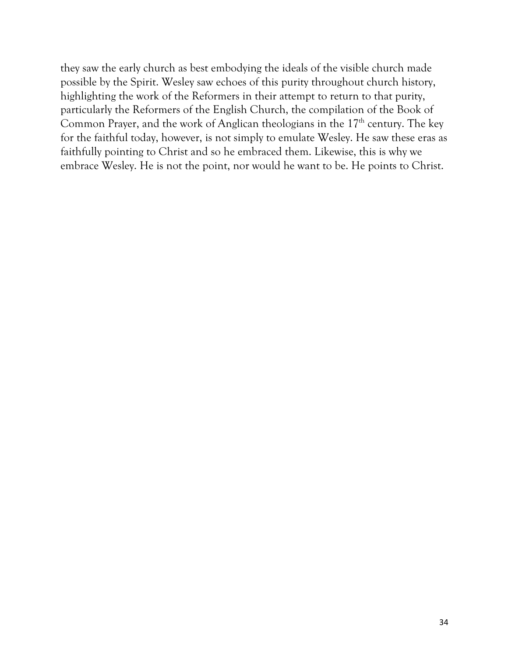they saw the early church as best embodying the ideals of the visible church made possible by the Spirit. Wesley saw echoes of this purity throughout church history, highlighting the work of the Reformers in their attempt to return to that purity, particularly the Reformers of the English Church, the compilation of the Book of Common Prayer, and the work of Anglican theologians in the  $17<sup>th</sup>$  century. The key for the faithful today, however, is not simply to emulate Wesley. He saw these eras as faithfully pointing to Christ and so he embraced them. Likewise, this is why we embrace Wesley. He is not the point, nor would he want to be. He points to Christ.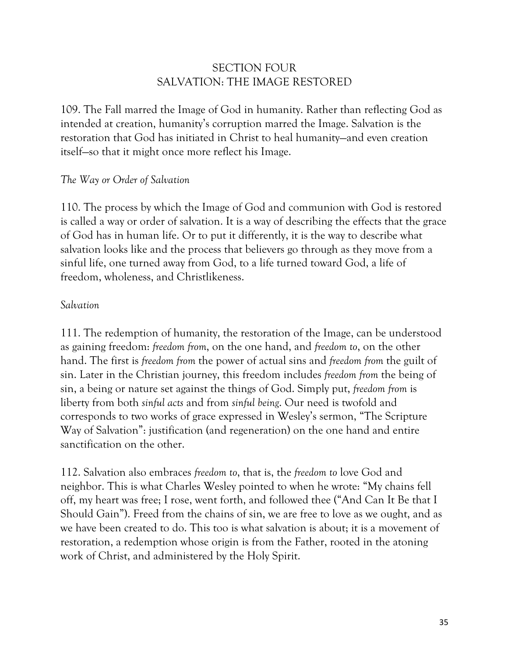# SECTION FOUR SALVATION: THE IMAGE RESTORED

109. The Fall marred the Image of God in humanity. Rather than reflecting God as intended at creation, humanity's corruption marred the Image. Salvation is the restoration that God has initiated in Christ to heal humanity—and even creation itself—so that it might once more reflect his Image.

### *The Way or Order of Salvation*

110. The process by which the Image of God and communion with God is restored is called a way or order of salvation. It is a way of describing the effects that the grace of God has in human life. Or to put it differently, it is the way to describe what salvation looks like and the process that believers go through as they move from a sinful life, one turned away from God, to a life turned toward God, a life of freedom, wholeness, and Christlikeness.

#### *Salvation*

111. The redemption of humanity, the restoration of the Image, can be understood as gaining freedom: *freedom from*, on the one hand, and *freedom to*, on the other hand. The first is *freedom from* the power of actual sins and *freedom from* the guilt of sin. Later in the Christian journey, this freedom includes *freedom from* the being of sin, a being or nature set against the things of God. Simply put, *freedom from* is liberty from both *sinful acts* and from *sinful being*. Our need is twofold and corresponds to two works of grace expressed in Wesley's sermon, "The Scripture Way of Salvation": justification (and regeneration) on the one hand and entire sanctification on the other.

112. Salvation also embraces *freedom to*, that is, the *freedom to* love God and neighbor. This is what Charles Wesley pointed to when he wrote: "My chains fell off, my heart was free; I rose, went forth, and followed thee ("And Can It Be that I Should Gain"). Freed from the chains of sin, we are free to love as we ought, and as we have been created to do. This too is what salvation is about; it is a movement of restoration, a redemption whose origin is from the Father, rooted in the atoning work of Christ, and administered by the Holy Spirit.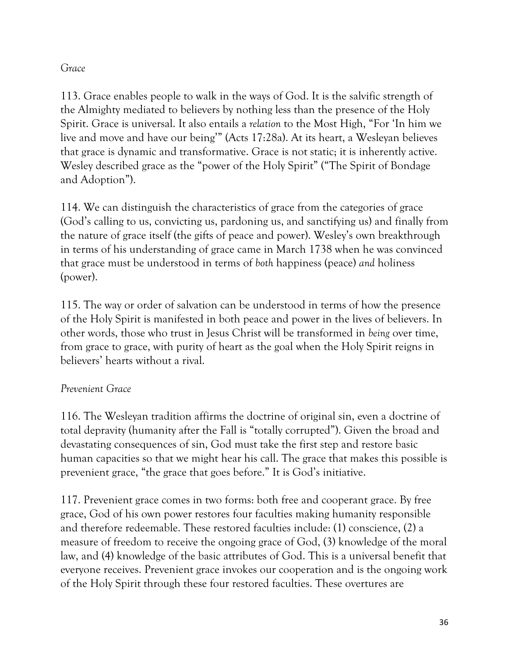# *Grace*

113. Grace enables people to walk in the ways of God. It is the salvific strength of the Almighty mediated to believers by nothing less than the presence of the Holy Spirit. Grace is universal. It also entails a *relation* to the Most High, "For 'In him we live and move and have our being'" (Acts 17:28a). At its heart, a Wesleyan believes that grace is dynamic and transformative. Grace is not static; it is inherently active. Wesley described grace as the "power of the Holy Spirit" ("The Spirit of Bondage and Adoption").

114. We can distinguish the characteristics of grace from the categories of grace (God's calling to us, convicting us, pardoning us, and sanctifying us) and finally from the nature of grace itself (the gifts of peace and power). Wesley's own breakthrough in terms of his understanding of grace came in March 1738 when he was convinced that grace must be understood in terms of *both* happiness (peace) *and* holiness (power).

115. The way or order of salvation can be understood in terms of how the presence of the Holy Spirit is manifested in both peace and power in the lives of believers. In other words, those who trust in Jesus Christ will be transformed in *being* over time, from grace to grace, with purity of heart as the goal when the Holy Spirit reigns in believers' hearts without a rival.

# *Prevenient Grace*

116. The Wesleyan tradition affirms the doctrine of original sin, even a doctrine of total depravity (humanity after the Fall is "totally corrupted"). Given the broad and devastating consequences of sin, God must take the first step and restore basic human capacities so that we might hear his call. The grace that makes this possible is prevenient grace, "the grace that goes before." It is God's initiative.

117. Prevenient grace comes in two forms: both free and cooperant grace. By free grace, God of his own power restores four faculties making humanity responsible and therefore redeemable. These restored faculties include: (1) conscience, (2) a measure of freedom to receive the ongoing grace of God, (3) knowledge of the moral law, and (4) knowledge of the basic attributes of God. This is a universal benefit that everyone receives. Prevenient grace invokes our cooperation and is the ongoing work of the Holy Spirit through these four restored faculties. These overtures are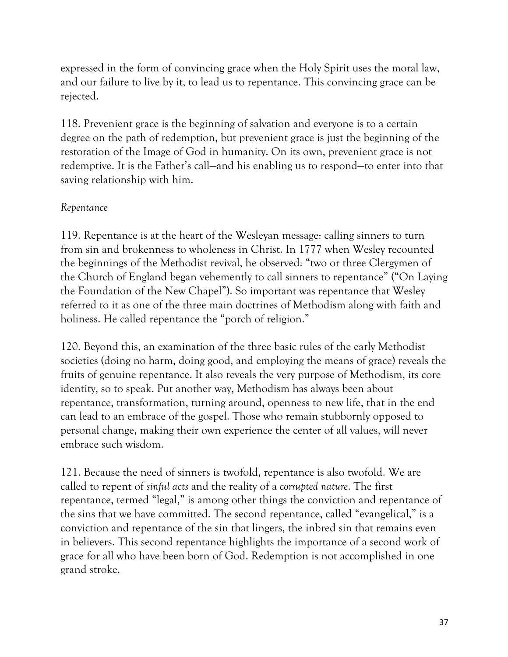expressed in the form of convincing grace when the Holy Spirit uses the moral law, and our failure to live by it, to lead us to repentance. This convincing grace can be rejected.

118. Prevenient grace is the beginning of salvation and everyone is to a certain degree on the path of redemption, but prevenient grace is just the beginning of the restoration of the Image of God in humanity. On its own, prevenient grace is not redemptive. It is the Father's call—and his enabling us to respond—to enter into that saving relationship with him.

## *Repentance*

119. Repentance is at the heart of the Wesleyan message: calling sinners to turn from sin and brokenness to wholeness in Christ. In 1777 when Wesley recounted the beginnings of the Methodist revival, he observed: "two or three Clergymen of the Church of England began vehemently to call sinners to repentance" ("On Laying the Foundation of the New Chapel"). So important was repentance that Wesley referred to it as one of the three main doctrines of Methodism along with faith and holiness. He called repentance the "porch of religion."

120. Beyond this, an examination of the three basic rules of the early Methodist societies (doing no harm, doing good, and employing the means of grace) reveals the fruits of genuine repentance. It also reveals the very purpose of Methodism, its core identity, so to speak. Put another way, Methodism has always been about repentance, transformation, turning around, openness to new life, that in the end can lead to an embrace of the gospel. Those who remain stubbornly opposed to personal change, making their own experience the center of all values, will never embrace such wisdom.

121. Because the need of sinners is twofold, repentance is also twofold. We are called to repent of *sinful acts* and the reality of a *corrupted nature*. The first repentance, termed "legal," is among other things the conviction and repentance of the sins that we have committed. The second repentance, called "evangelical," is a conviction and repentance of the sin that lingers, the inbred sin that remains even in believers. This second repentance highlights the importance of a second work of grace for all who have been born of God. Redemption is not accomplished in one grand stroke.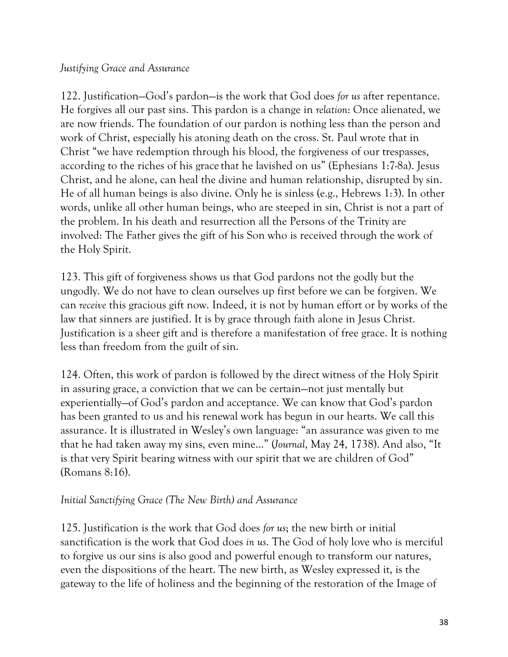## *Justifying Grace and Assurance*

122. Justification—God's pardon—is the work that God does *for us* after repentance. He forgives all our past sins. This pardon is a change in *relation*: Once alienated, we are now friends. The foundation of our pardon is nothing less than the person and work of Christ, especially his atoning death on the cross. St. Paul wrote that in Christ "we have redemption through his blood, the forgiveness of our trespasses, according to the riches of his grace that he lavished on us" (Ephesians 1:7-8a). Jesus Christ, and he alone, can heal the divine and human relationship, disrupted by sin. He of all human beings is also divine. Only he is sinless (e.g., Hebrews 1:3). In other words, unlike all other human beings, who are steeped in sin, Christ is not a part of the problem. In his death and resurrection all the Persons of the Trinity are involved: The Father gives the gift of his Son who is received through the work of the Holy Spirit.

123. This gift of forgiveness shows us that God pardons not the godly but the ungodly. We do not have to clean ourselves up first before we can be forgiven. We can *receive* this gracious gift now. Indeed, it is not by human effort or by works of the law that sinners are justified. It is by grace through faith alone in Jesus Christ. Justification is a sheer gift and is therefore a manifestation of free grace. It is nothing less than freedom from the guilt of sin.

124. Often, this work of pardon is followed by the direct witness of the Holy Spirit in assuring grace, a conviction that we can be certain—not just mentally but experientially—of God's pardon and acceptance. We can know that God's pardon has been granted to us and his renewal work has begun in our hearts. We call this assurance. It is illustrated in Wesley's own language: "an assurance was given to me that he had taken away my sins, even mine…" (*Journal*, May 24, 1738). And also, "It is that very Spirit bearing witness with our spirit that we are children of God" (Romans 8:16).

### *Initial Sanctifying Grace (The New Birth) and Assurance*

125. Justification is the work that God does *for us*; the new birth or initial sanctification is the work that God does *in us*. The God of holy love who is merciful to forgive us our sins is also good and powerful enough to transform our natures, even the dispositions of the heart. The new birth, as Wesley expressed it, is the gateway to the life of holiness and the beginning of the restoration of the Image of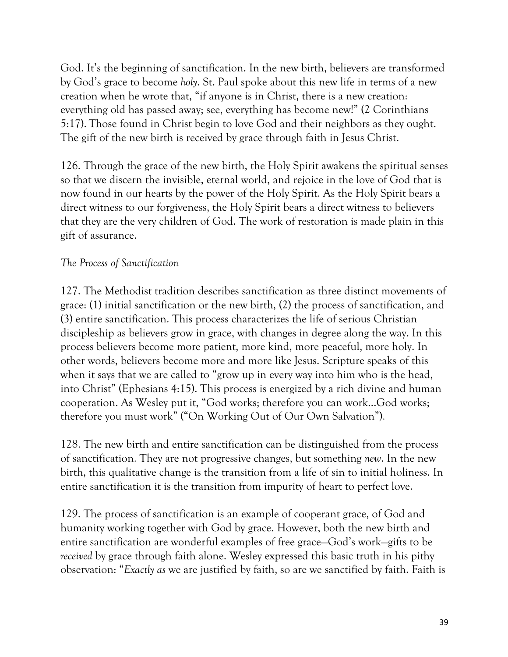God. It's the beginning of sanctification. In the new birth, believers are transformed by God's grace to become *holy*. St. Paul spoke about this new life in terms of a new creation when he wrote that, "if anyone is in Christ, there is a new creation: everything old has passed away; see, everything has become new!" (2 Corinthians 5:17). Those found in Christ begin to love God and their neighbors as they ought. The gift of the new birth is received by grace through faith in Jesus Christ.

126. Through the grace of the new birth, the Holy Spirit awakens the spiritual senses so that we discern the invisible, eternal world, and rejoice in the love of God that is now found in our hearts by the power of the Holy Spirit. As the Holy Spirit bears a direct witness to our forgiveness, the Holy Spirit bears a direct witness to believers that they are the very children of God. The work of restoration is made plain in this gift of assurance.

### *The Process of Sanctification*

127. The Methodist tradition describes sanctification as three distinct movements of grace: (1) initial sanctification or the new birth, (2) the process of sanctification, and (3) entire sanctification. This process characterizes the life of serious Christian discipleship as believers grow in grace, with changes in degree along the way. In this process believers become more patient, more kind, more peaceful, more holy. In other words, believers become more and more like Jesus. Scripture speaks of this when it says that we are called to "grow up in every way into him who is the head, into Christ" (Ephesians 4:15). This process is energized by a rich divine and human cooperation. As Wesley put it, "God works; therefore you can work…God works; therefore you must work" ("On Working Out of Our Own Salvation").

128. The new birth and entire sanctification can be distinguished from the process of sanctification. They are not progressive changes, but something *new*. In the new birth, this qualitative change is the transition from a life of sin to initial holiness. In entire sanctification it is the transition from impurity of heart to perfect love.

129. The process of sanctification is an example of cooperant grace, of God and humanity working together with God by grace. However, both the new birth and entire sanctification are wonderful examples of free grace—God's work—gifts to be *received* by grace through faith alone. Wesley expressed this basic truth in his pithy observation: "*Exactly as* we are justified by faith, so are we sanctified by faith. Faith is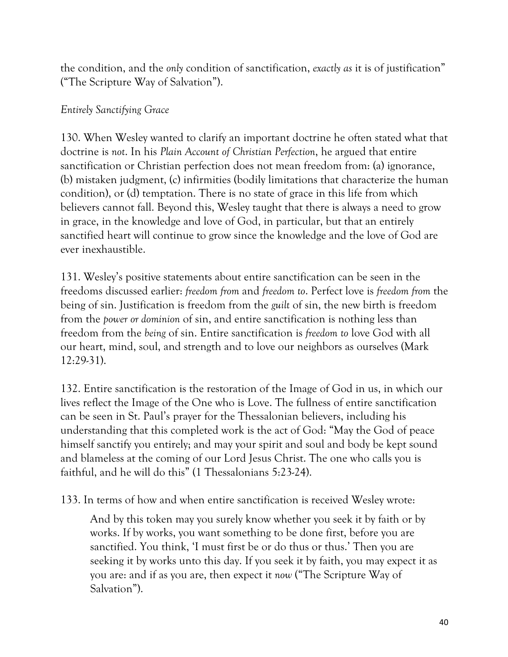the condition, and the *only* condition of sanctification, *exactly as* it is of justification" ("The Scripture Way of Salvation").

# *Entirely Sanctifying Grace*

130. When Wesley wanted to clarify an important doctrine he often stated what that doctrine is *not*. In his *Plain Account of Christian Perfection*, he argued that entire sanctification or Christian perfection does not mean freedom from: (a) ignorance, (b) mistaken judgment, (c) infirmities (bodily limitations that characterize the human condition), or (d) temptation. There is no state of grace in this life from which believers cannot fall. Beyond this, Wesley taught that there is always a need to grow in grace, in the knowledge and love of God, in particular, but that an entirely sanctified heart will continue to grow since the knowledge and the love of God are ever inexhaustible.

131. Wesley's positive statements about entire sanctification can be seen in the freedoms discussed earlier: *freedom from* and *freedom to*. Perfect love is *freedom from* the being of sin. Justification is freedom from the *guilt* of sin, the new birth is freedom from the *power or dominion* of sin, and entire sanctification is nothing less than freedom from the *being* of sin. Entire sanctification is *freedom to* love God with all our heart, mind, soul, and strength and to love our neighbors as ourselves (Mark 12:29-31).

132. Entire sanctification is the restoration of the Image of God in us, in which our lives reflect the Image of the One who is Love. The fullness of entire sanctification can be seen in St. Paul's prayer for the Thessalonian believers, including his understanding that this completed work is the act of God: "May the God of peace himself sanctify you entirely; and may your spirit and soul and body be kept sound and blameless at the coming of our Lord Jesus Christ. The one who calls you is faithful, and he will do this" (1 Thessalonians 5:23-24).

133. In terms of how and when entire sanctification is received Wesley wrote:

And by this token may you surely know whether you seek it by faith or by works. If by works, you want something to be done first, before you are sanctified. You think, 'I must first be or do thus or thus.' Then you are seeking it by works unto this day. If you seek it by faith, you may expect it as you are: and if as you are, then expect it *now* ("The Scripture Way of Salvation").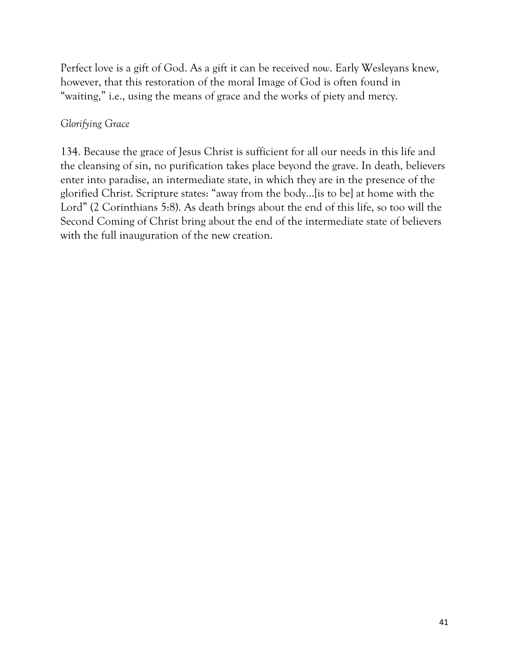Perfect love is a gift of God. As a gift it can be received *now*. Early Wesleyans knew, however, that this restoration of the moral Image of God is often found in "waiting," i.e., using the means of grace and the works of piety and mercy.

# *Glorifying Grace*

134. Because the grace of Jesus Christ is sufficient for all our needs in this life and the cleansing of sin, no purification takes place beyond the grave. In death, believers enter into paradise, an intermediate state, in which they are in the presence of the glorified Christ. Scripture states: "away from the body…[is to be] at home with the Lord" (2 Corinthians 5:8). As death brings about the end of this life, so too will the Second Coming of Christ bring about the end of the intermediate state of believers with the full inauguration of the new creation.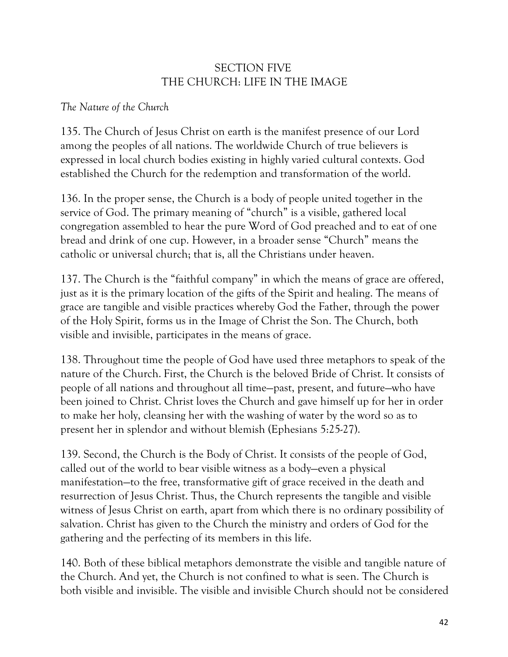# SECTION FIVE THE CHURCH: LIFE IN THE IMAGE

# *The Nature of the Church*

135. The Church of Jesus Christ on earth is the manifest presence of our Lord among the peoples of all nations. The worldwide Church of true believers is expressed in local church bodies existing in highly varied cultural contexts. God established the Church for the redemption and transformation of the world.

136. In the proper sense, the Church is a body of people united together in the service of God. The primary meaning of "church" is a visible, gathered local congregation assembled to hear the pure Word of God preached and to eat of one bread and drink of one cup. However, in a broader sense "Church" means the catholic or universal church; that is, all the Christians under heaven.

137. The Church is the "faithful company" in which the means of grace are offered, just as it is the primary location of the gifts of the Spirit and healing. The means of grace are tangible and visible practices whereby God the Father, through the power of the Holy Spirit, forms us in the Image of Christ the Son. The Church, both visible and invisible, participates in the means of grace.

138. Throughout time the people of God have used three metaphors to speak of the nature of the Church. First, the Church is the beloved Bride of Christ. It consists of people of all nations and throughout all time—past, present, and future—who have been joined to Christ. Christ loves the Church and gave himself up for her in order to make her holy, cleansing her with the washing of water by the word so as to present her in splendor and without blemish (Ephesians 5:25-27).

139. Second, the Church is the Body of Christ. It consists of the people of God, called out of the world to bear visible witness as a body—even a physical manifestation—to the free, transformative gift of grace received in the death and resurrection of Jesus Christ. Thus, the Church represents the tangible and visible witness of Jesus Christ on earth, apart from which there is no ordinary possibility of salvation. Christ has given to the Church the ministry and orders of God for the gathering and the perfecting of its members in this life.

140. Both of these biblical metaphors demonstrate the visible and tangible nature of the Church. And yet, the Church is not confined to what is seen. The Church is both visible and invisible. The visible and invisible Church should not be considered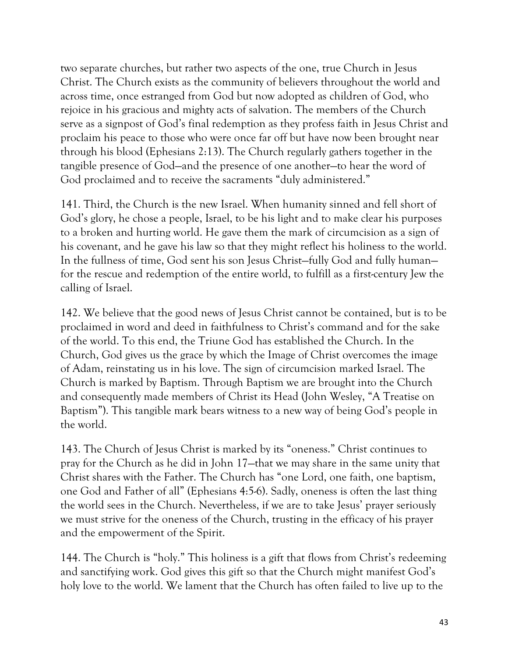two separate churches, but rather two aspects of the one, true Church in Jesus Christ. The Church exists as the community of believers throughout the world and across time, once estranged from God but now adopted as children of God, who rejoice in his gracious and mighty acts of salvation. The members of the Church serve as a signpost of God's final redemption as they profess faith in Jesus Christ and proclaim his peace to those who were once far off but have now been brought near through his blood (Ephesians 2:13). The Church regularly gathers together in the tangible presence of God—and the presence of one another—to hear the word of God proclaimed and to receive the sacraments "duly administered."

141. Third, the Church is the new Israel. When humanity sinned and fell short of God's glory, he chose a people, Israel, to be his light and to make clear his purposes to a broken and hurting world. He gave them the mark of circumcision as a sign of his covenant, and he gave his law so that they might reflect his holiness to the world. In the fullness of time, God sent his son Jesus Christ—fully God and fully human for the rescue and redemption of the entire world, to fulfill as a first-century Jew the calling of Israel.

142. We believe that the good news of Jesus Christ cannot be contained, but is to be proclaimed in word and deed in faithfulness to Christ's command and for the sake of the world. To this end, the Triune God has established the Church. In the Church, God gives us the grace by which the Image of Christ overcomes the image of Adam, reinstating us in his love. The sign of circumcision marked Israel. The Church is marked by Baptism. Through Baptism we are brought into the Church and consequently made members of Christ its Head (John Wesley, "A Treatise on Baptism"). This tangible mark bears witness to a new way of being God's people in the world.

143. The Church of Jesus Christ is marked by its "oneness." Christ continues to pray for the Church as he did in John 17—that we may share in the same unity that Christ shares with the Father. The Church has "one Lord, one faith, one baptism, one God and Father of all" (Ephesians 4:5-6). Sadly, oneness is often the last thing the world sees in the Church. Nevertheless, if we are to take Jesus' prayer seriously we must strive for the oneness of the Church, trusting in the efficacy of his prayer and the empowerment of the Spirit.

144. The Church is "holy." This holiness is a gift that flows from Christ's redeeming and sanctifying work. God gives this gift so that the Church might manifest God's holy love to the world. We lament that the Church has often failed to live up to the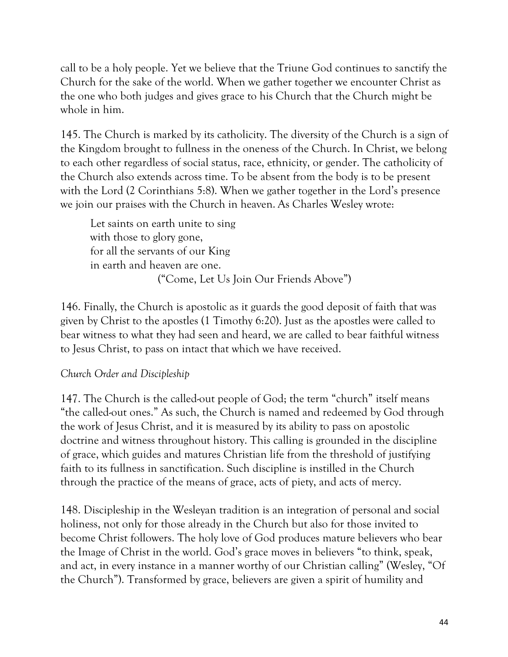call to be a holy people. Yet we believe that the Triune God continues to sanctify the Church for the sake of the world. When we gather together we encounter Christ as the one who both judges and gives grace to his Church that the Church might be whole in him.

145. The Church is marked by its catholicity. The diversity of the Church is a sign of the Kingdom brought to fullness in the oneness of the Church. In Christ, we belong to each other regardless of social status, race, ethnicity, or gender. The catholicity of the Church also extends across time. To be absent from the body is to be present with the Lord (2 Corinthians 5:8). When we gather together in the Lord's presence we join our praises with the Church in heaven. As Charles Wesley wrote:

Let saints on earth unite to sing with those to glory gone, for all the servants of our King in earth and heaven are one. ("Come, Let Us Join Our Friends Above")

146. Finally, the Church is apostolic as it guards the good deposit of faith that was given by Christ to the apostles (1 Timothy 6:20). Just as the apostles were called to bear witness to what they had seen and heard, we are called to bear faithful witness to Jesus Christ, to pass on intact that which we have received.

# *Church Order and Discipleship*

147. The Church is the called-out people of God; the term "church" itself means "the called-out ones." As such, the Church is named and redeemed by God through the work of Jesus Christ, and it is measured by its ability to pass on apostolic doctrine and witness throughout history. This calling is grounded in the discipline of grace, which guides and matures Christian life from the threshold of justifying faith to its fullness in sanctification. Such discipline is instilled in the Church through the practice of the means of grace, acts of piety, and acts of mercy.

148. Discipleship in the Wesleyan tradition is an integration of personal and social holiness, not only for those already in the Church but also for those invited to become Christ followers. The holy love of God produces mature believers who bear the Image of Christ in the world. God's grace moves in believers "to think, speak, and act, in every instance in a manner worthy of our Christian calling" (Wesley, "Of the Church"). Transformed by grace, believers are given a spirit of humility and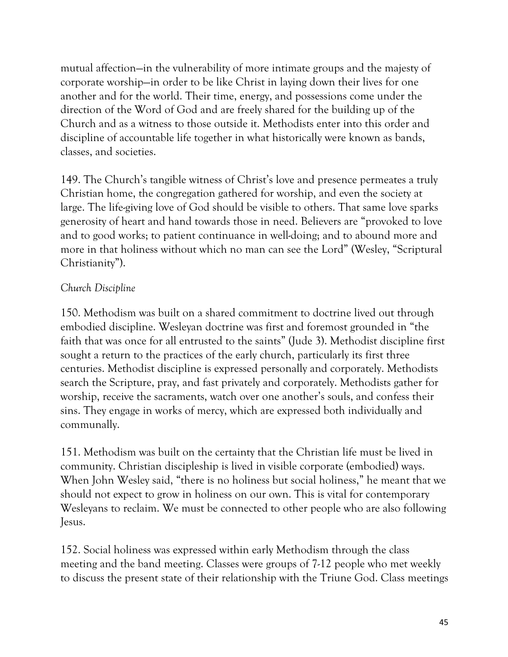mutual affection—in the vulnerability of more intimate groups and the majesty of corporate worship—in order to be like Christ in laying down their lives for one another and for the world. Their time, energy, and possessions come under the direction of the Word of God and are freely shared for the building up of the Church and as a witness to those outside it. Methodists enter into this order and discipline of accountable life together in what historically were known as bands, classes, and societies.

149. The Church's tangible witness of Christ's love and presence permeates a truly Christian home, the congregation gathered for worship, and even the society at large. The life-giving love of God should be visible to others. That same love sparks generosity of heart and hand towards those in need. Believers are "provoked to love and to good works; to patient continuance in well-doing; and to abound more and more in that holiness without which no man can see the Lord" (Wesley, "Scriptural Christianity").

## *Church Discipline*

150. Methodism was built on a shared commitment to doctrine lived out through embodied discipline. Wesleyan doctrine was first and foremost grounded in "the faith that was once for all entrusted to the saints" (Jude 3). Methodist discipline first sought a return to the practices of the early church, particularly its first three centuries. Methodist discipline is expressed personally and corporately. Methodists search the Scripture, pray, and fast privately and corporately. Methodists gather for worship, receive the sacraments, watch over one another's souls, and confess their sins. They engage in works of mercy, which are expressed both individually and communally.

151. Methodism was built on the certainty that the Christian life must be lived in community. Christian discipleship is lived in visible corporate (embodied) ways. When John Wesley said, "there is no holiness but social holiness," he meant that we should not expect to grow in holiness on our own. This is vital for contemporary Wesleyans to reclaim. We must be connected to other people who are also following Jesus.

152. Social holiness was expressed within early Methodism through the class meeting and the band meeting. Classes were groups of 7-12 people who met weekly to discuss the present state of their relationship with the Triune God. Class meetings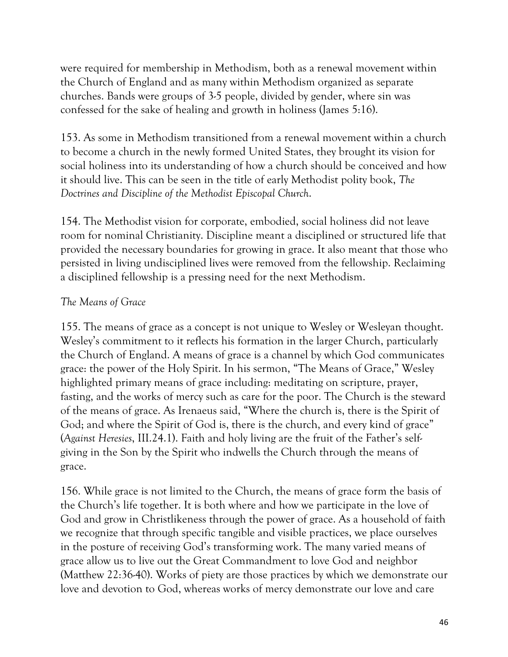were required for membership in Methodism, both as a renewal movement within the Church of England and as many within Methodism organized as separate churches. Bands were groups of 3-5 people, divided by gender, where sin was confessed for the sake of healing and growth in holiness (James 5:16).

153. As some in Methodism transitioned from a renewal movement within a church to become a church in the newly formed United States, they brought its vision for social holiness into its understanding of how a church should be conceived and how it should live. This can be seen in the title of early Methodist polity book, *The Doctrines and Discipline of the Methodist Episcopal Church*.

154. The Methodist vision for corporate, embodied, social holiness did not leave room for nominal Christianity. Discipline meant a disciplined or structured life that provided the necessary boundaries for growing in grace. It also meant that those who persisted in living undisciplined lives were removed from the fellowship. Reclaiming a disciplined fellowship is a pressing need for the next Methodism.

## *The Means of Grace*

155. The means of grace as a concept is not unique to Wesley or Wesleyan thought. Wesley's commitment to it reflects his formation in the larger Church, particularly the Church of England. A means of grace is a channel by which God communicates grace: the power of the Holy Spirit. In his sermon, "The Means of Grace," Wesley highlighted primary means of grace including: meditating on scripture, prayer, fasting, and the works of mercy such as care for the poor. The Church is the steward of the means of grace. As Irenaeus said, "Where the church is, there is the Spirit of God; and where the Spirit of God is, there is the church, and every kind of grace" (*Against Heresies*, III.24.1). Faith and holy living are the fruit of the Father's selfgiving in the Son by the Spirit who indwells the Church through the means of grace.

156. While grace is not limited to the Church, the means of grace form the basis of the Church's life together. It is both where and how we participate in the love of God and grow in Christlikeness through the power of grace. As a household of faith we recognize that through specific tangible and visible practices, we place ourselves in the posture of receiving God's transforming work. The many varied means of grace allow us to live out the Great Commandment to love God and neighbor (Matthew 22:36-40). Works of piety are those practices by which we demonstrate our love and devotion to God, whereas works of mercy demonstrate our love and care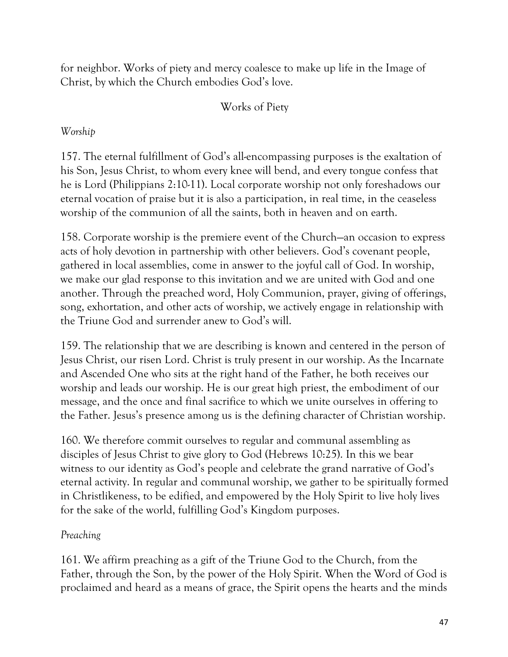for neighbor. Works of piety and mercy coalesce to make up life in the Image of Christ, by which the Church embodies God's love.

# Works of Piety

# *Worship*

157. The eternal fulfillment of God's all-encompassing purposes is the exaltation of his Son, Jesus Christ, to whom every knee will bend, and every tongue confess that he is Lord (Philippians 2:10-11). Local corporate worship not only foreshadows our eternal vocation of praise but it is also a participation, in real time, in the ceaseless worship of the communion of all the saints, both in heaven and on earth.

158. Corporate worship is the premiere event of the Church—an occasion to express acts of holy devotion in partnership with other believers. God's covenant people, gathered in local assemblies, come in answer to the joyful call of God. In worship, we make our glad response to this invitation and we are united with God and one another. Through the preached word, Holy Communion, prayer, giving of offerings, song, exhortation, and other acts of worship, we actively engage in relationship with the Triune God and surrender anew to God's will.

159. The relationship that we are describing is known and centered in the person of Jesus Christ, our risen Lord. Christ is truly present in our worship. As the Incarnate and Ascended One who sits at the right hand of the Father, he both receives our worship and leads our worship. He is our great high priest, the embodiment of our message, and the once and final sacrifice to which we unite ourselves in offering to the Father. Jesus's presence among us is the defining character of Christian worship.

160. We therefore commit ourselves to regular and communal assembling as disciples of Jesus Christ to give glory to God (Hebrews 10:25). In this we bear witness to our identity as God's people and celebrate the grand narrative of God's eternal activity. In regular and communal worship, we gather to be spiritually formed in Christlikeness, to be edified, and empowered by the Holy Spirit to live holy lives for the sake of the world, fulfilling God's Kingdom purposes.

# *Preaching*

161. We affirm preaching as a gift of the Triune God to the Church, from the Father, through the Son, by the power of the Holy Spirit. When the Word of God is proclaimed and heard as a means of grace, the Spirit opens the hearts and the minds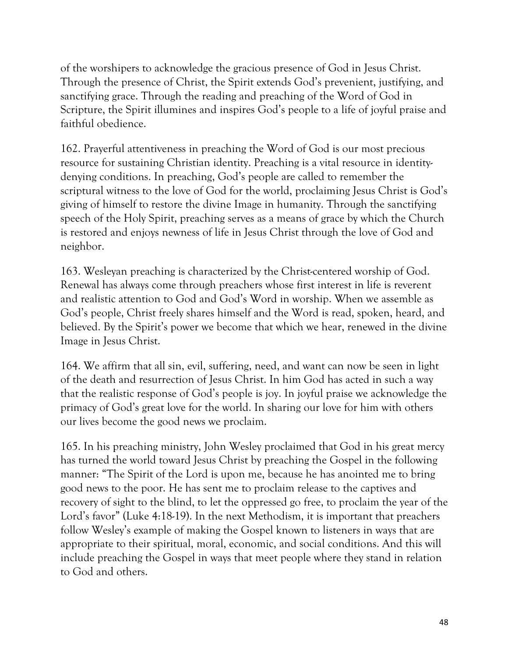of the worshipers to acknowledge the gracious presence of God in Jesus Christ. Through the presence of Christ, the Spirit extends God's prevenient, justifying, and sanctifying grace. Through the reading and preaching of the Word of God in Scripture, the Spirit illumines and inspires God's people to a life of joyful praise and faithful obedience.

162. Prayerful attentiveness in preaching the Word of God is our most precious resource for sustaining Christian identity. Preaching is a vital resource in identitydenying conditions. In preaching, God's people are called to remember the scriptural witness to the love of God for the world, proclaiming Jesus Christ is God's giving of himself to restore the divine Image in humanity. Through the sanctifying speech of the Holy Spirit, preaching serves as a means of grace by which the Church is restored and enjoys newness of life in Jesus Christ through the love of God and neighbor.

163. Wesleyan preaching is characterized by the Christ-centered worship of God. Renewal has always come through preachers whose first interest in life is reverent and realistic attention to God and God's Word in worship. When we assemble as God's people, Christ freely shares himself and the Word is read, spoken, heard, and believed. By the Spirit's power we become that which we hear, renewed in the divine Image in Jesus Christ.

164. We affirm that all sin, evil, suffering, need, and want can now be seen in light of the death and resurrection of Jesus Christ. In him God has acted in such a way that the realistic response of God's people is joy. In joyful praise we acknowledge the primacy of God's great love for the world. In sharing our love for him with others our lives become the good news we proclaim.

165. In his preaching ministry, John Wesley proclaimed that God in his great mercy has turned the world toward Jesus Christ by preaching the Gospel in the following manner: "The Spirit of the Lord is upon me, because he has anointed me to bring good news to the poor. He has sent me to proclaim release to the captives and recovery of sight to the blind, to let the oppressed go free, to proclaim the year of the Lord's favor" (Luke 4:18-19). In the next Methodism, it is important that preachers follow Wesley's example of making the Gospel known to listeners in ways that are appropriate to their spiritual, moral, economic, and social conditions. And this will include preaching the Gospel in ways that meet people where they stand in relation to God and others.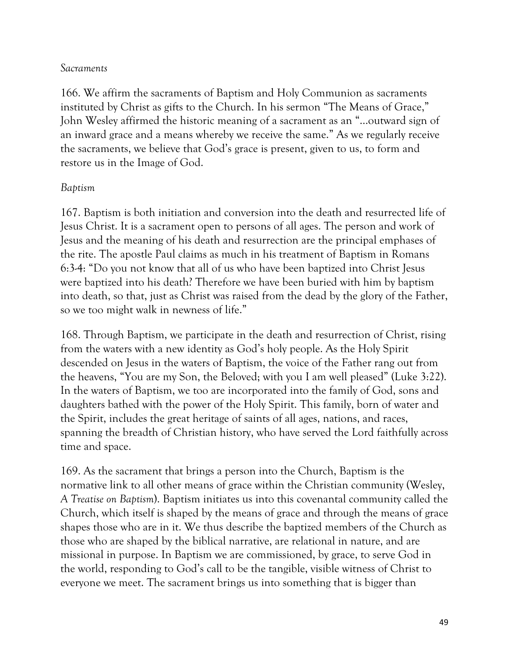### *Sacraments*

166. We affirm the sacraments of Baptism and Holy Communion as sacraments instituted by Christ as gifts to the Church. In his sermon "The Means of Grace," John Wesley affirmed the historic meaning of a sacrament as an "...outward sign of an inward grace and a means whereby we receive the same." As we regularly receive the sacraments, we believe that God's grace is present, given to us, to form and restore us in the Image of God.

### *Baptism*

167. Baptism is both initiation and conversion into the death and resurrected life of Jesus Christ. It is a sacrament open to persons of all ages. The person and work of Jesus and the meaning of his death and resurrection are the principal emphases of the rite. The apostle Paul claims as much in his treatment of Baptism in Romans 6:3-4: "Do you not know that all of us who have been baptized into Christ Jesus were baptized into his death? Therefore we have been buried with him by baptism into death, so that, just as Christ was raised from the dead by the glory of the Father, so we too might walk in newness of life."

168. Through Baptism, we participate in the death and resurrection of Christ, rising from the waters with a new identity as God's holy people. As the Holy Spirit descended on Jesus in the waters of Baptism, the voice of the Father rang out from the heavens, "You are my Son, the Beloved; with you I am well pleased" (Luke 3:22). In the waters of Baptism, we too are incorporated into the family of God, sons and daughters bathed with the power of the Holy Spirit. This family, born of water and the Spirit, includes the great heritage of saints of all ages, nations, and races, spanning the breadth of Christian history, who have served the Lord faithfully across time and space.

169. As the sacrament that brings a person into the Church, Baptism is the normative link to all other means of grace within the Christian community (Wesley, *A Treatise on Baptism*). Baptism initiates us into this covenantal community called the Church, which itself is shaped by the means of grace and through the means of grace shapes those who are in it. We thus describe the baptized members of the Church as those who are shaped by the biblical narrative, are relational in nature, and are missional in purpose. In Baptism we are commissioned, by grace, to serve God in the world, responding to God's call to be the tangible, visible witness of Christ to everyone we meet. The sacrament brings us into something that is bigger than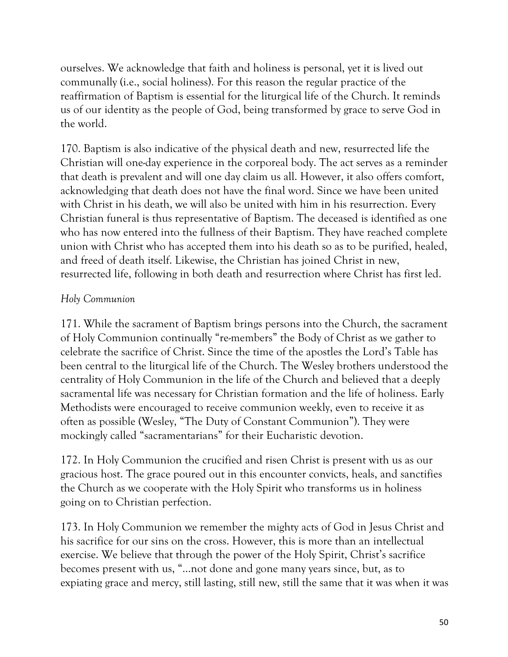ourselves. We acknowledge that faith and holiness is personal, yet it is lived out communally (i.e., social holiness). For this reason the regular practice of the reaffirmation of Baptism is essential for the liturgical life of the Church. It reminds us of our identity as the people of God, being transformed by grace to serve God in the world.

170. Baptism is also indicative of the physical death and new, resurrected life the Christian will one-day experience in the corporeal body. The act serves as a reminder that death is prevalent and will one day claim us all. However, it also offers comfort, acknowledging that death does not have the final word. Since we have been united with Christ in his death, we will also be united with him in his resurrection. Every Christian funeral is thus representative of Baptism. The deceased is identified as one who has now entered into the fullness of their Baptism. They have reached complete union with Christ who has accepted them into his death so as to be purified, healed, and freed of death itself. Likewise, the Christian has joined Christ in new, resurrected life, following in both death and resurrection where Christ has first led.

## *Holy Communion*

171. While the sacrament of Baptism brings persons into the Church, the sacrament of Holy Communion continually "re-members" the Body of Christ as we gather to celebrate the sacrifice of Christ. Since the time of the apostles the Lord's Table has been central to the liturgical life of the Church. The Wesley brothers understood the centrality of Holy Communion in the life of the Church and believed that a deeply sacramental life was necessary for Christian formation and the life of holiness. Early Methodists were encouraged to receive communion weekly, even to receive it as often as possible (Wesley, "The Duty of Constant Communion"). They were mockingly called "sacramentarians" for their Eucharistic devotion.

172. In Holy Communion the crucified and risen Christ is present with us as our gracious host. The grace poured out in this encounter convicts, heals, and sanctifies the Church as we cooperate with the Holy Spirit who transforms us in holiness going on to Christian perfection.

173. In Holy Communion we remember the mighty acts of God in Jesus Christ and his sacrifice for our sins on the cross. However, this is more than an intellectual exercise. We believe that through the power of the Holy Spirit, Christ's sacrifice becomes present with us, "...not done and gone many years since, but, as to expiating grace and mercy, still lasting, still new, still the same that it was when it was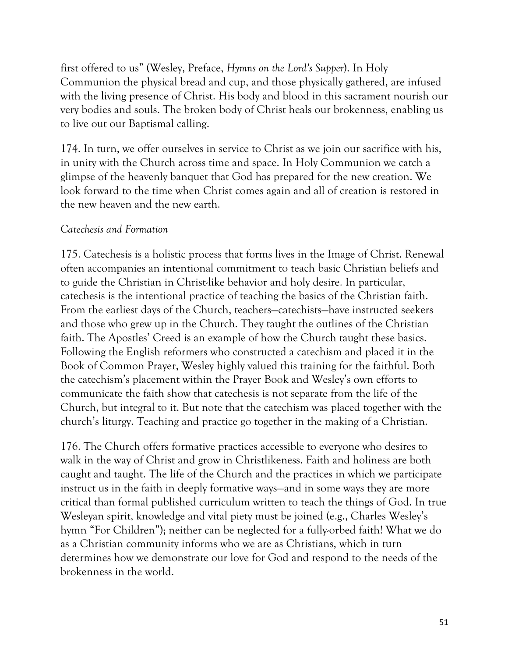first offered to us" (Wesley, Preface, *Hymns on the Lord's Supper*). In Holy Communion the physical bread and cup, and those physically gathered, are infused with the living presence of Christ. His body and blood in this sacrament nourish our very bodies and souls. The broken body of Christ heals our brokenness, enabling us to live out our Baptismal calling.

174. In turn, we offer ourselves in service to Christ as we join our sacrifice with his, in unity with the Church across time and space. In Holy Communion we catch a glimpse of the heavenly banquet that God has prepared for the new creation. We look forward to the time when Christ comes again and all of creation is restored in the new heaven and the new earth.

## *Catechesis and Formation*

175. Catechesis is a holistic process that forms lives in the Image of Christ. Renewal often accompanies an intentional commitment to teach basic Christian beliefs and to guide the Christian in Christ-like behavior and holy desire. In particular, catechesis is the intentional practice of teaching the basics of the Christian faith. From the earliest days of the Church, teachers—catechists—have instructed seekers and those who grew up in the Church. They taught the outlines of the Christian faith. The Apostles' Creed is an example of how the Church taught these basics. Following the English reformers who constructed a catechism and placed it in the Book of Common Prayer, Wesley highly valued this training for the faithful. Both the catechism's placement within the Prayer Book and Wesley's own efforts to communicate the faith show that catechesis is not separate from the life of the Church, but integral to it. But note that the catechism was placed together with the church's liturgy. Teaching and practice go together in the making of a Christian.

176. The Church offers formative practices accessible to everyone who desires to walk in the way of Christ and grow in Christlikeness. Faith and holiness are both caught and taught. The life of the Church and the practices in which we participate instruct us in the faith in deeply formative ways—and in some ways they are more critical than formal published curriculum written to teach the things of God. In true Wesleyan spirit, knowledge and vital piety must be joined (e.g., Charles Wesley's hymn "For Children"); neither can be neglected for a fully-orbed faith! What we do as a Christian community informs who we are as Christians, which in turn determines how we demonstrate our love for God and respond to the needs of the brokenness in the world.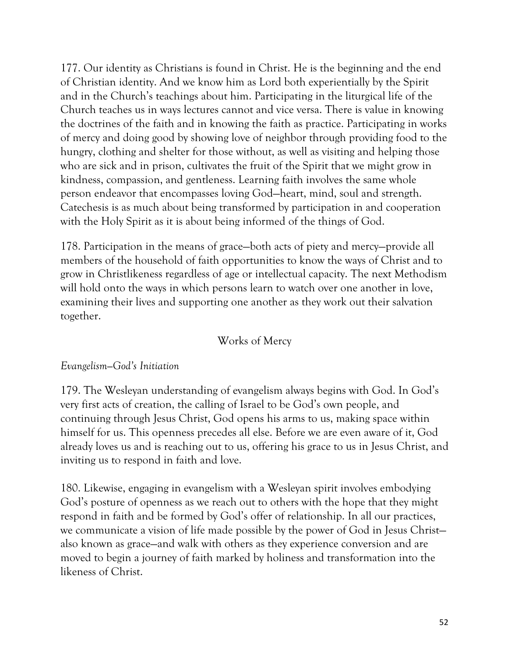177. Our identity as Christians is found in Christ. He is the beginning and the end of Christian identity. And we know him as Lord both experientially by the Spirit and in the Church's teachings about him. Participating in the liturgical life of the Church teaches us in ways lectures cannot and vice versa. There is value in knowing the doctrines of the faith and in knowing the faith as practice. Participating in works of mercy and doing good by showing love of neighbor through providing food to the hungry, clothing and shelter for those without, as well as visiting and helping those who are sick and in prison, cultivates the fruit of the Spirit that we might grow in kindness, compassion, and gentleness. Learning faith involves the same whole person endeavor that encompasses loving God—heart, mind, soul and strength. Catechesis is as much about being transformed by participation in and cooperation with the Holy Spirit as it is about being informed of the things of God.

178. Participation in the means of grace—both acts of piety and mercy—provide all members of the household of faith opportunities to know the ways of Christ and to grow in Christlikeness regardless of age or intellectual capacity. The next Methodism will hold onto the ways in which persons learn to watch over one another in love, examining their lives and supporting one another as they work out their salvation together.

# Works of Mercy

### *Evangelism—God's Initiation*

179. The Wesleyan understanding of evangelism always begins with God. In God's very first acts of creation, the calling of Israel to be God's own people, and continuing through Jesus Christ, God opens his arms to us, making space within himself for us. This openness precedes all else. Before we are even aware of it, God already loves us and is reaching out to us, offering his grace to us in Jesus Christ, and inviting us to respond in faith and love.

180. Likewise, engaging in evangelism with a Wesleyan spirit involves embodying God's posture of openness as we reach out to others with the hope that they might respond in faith and be formed by God's offer of relationship. In all our practices, we communicate a vision of life made possible by the power of God in Jesus Christ also known as grace—and walk with others as they experience conversion and are moved to begin a journey of faith marked by holiness and transformation into the likeness of Christ.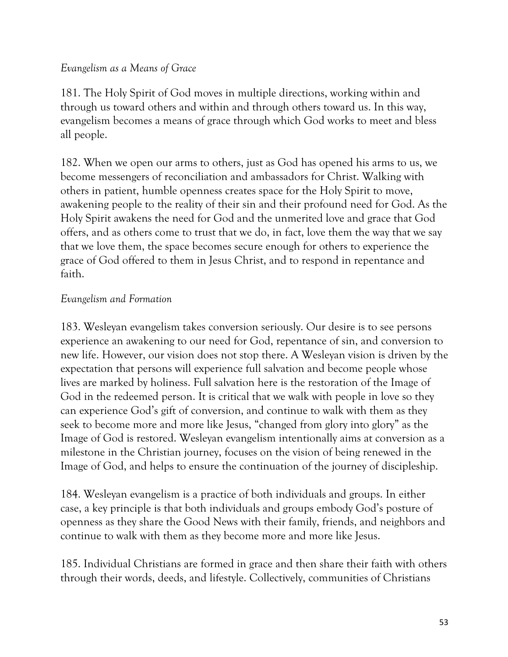### *Evangelism as a Means of Grace*

181. The Holy Spirit of God moves in multiple directions, working within and through us toward others and within and through others toward us. In this way, evangelism becomes a means of grace through which God works to meet and bless all people.

182. When we open our arms to others, just as God has opened his arms to us, we become messengers of reconciliation and ambassadors for Christ. Walking with others in patient, humble openness creates space for the Holy Spirit to move, awakening people to the reality of their sin and their profound need for God. As the Holy Spirit awakens the need for God and the unmerited love and grace that God offers, and as others come to trust that we do, in fact, love them the way that we say that we love them, the space becomes secure enough for others to experience the grace of God offered to them in Jesus Christ, and to respond in repentance and faith.

### *Evangelism and Formation*

183. Wesleyan evangelism takes conversion seriously. Our desire is to see persons experience an awakening to our need for God, repentance of sin, and conversion to new life. However, our vision does not stop there. A Wesleyan vision is driven by the expectation that persons will experience full salvation and become people whose lives are marked by holiness. Full salvation here is the restoration of the Image of God in the redeemed person. It is critical that we walk with people in love so they can experience God's gift of conversion, and continue to walk with them as they seek to become more and more like Jesus, "changed from glory into glory" as the Image of God is restored. Wesleyan evangelism intentionally aims at conversion as a milestone in the Christian journey, focuses on the vision of being renewed in the Image of God, and helps to ensure the continuation of the journey of discipleship.

184. Wesleyan evangelism is a practice of both individuals and groups. In either case, a key principle is that both individuals and groups embody God's posture of openness as they share the Good News with their family, friends, and neighbors and continue to walk with them as they become more and more like Jesus.

185. Individual Christians are formed in grace and then share their faith with others through their words, deeds, and lifestyle. Collectively, communities of Christians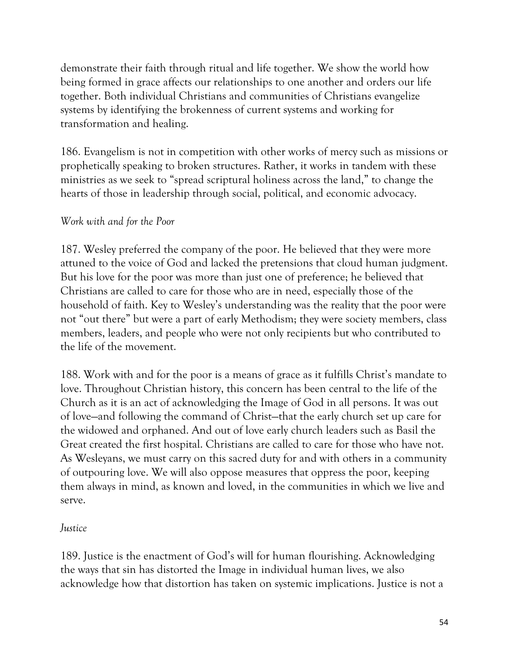demonstrate their faith through ritual and life together. We show the world how being formed in grace affects our relationships to one another and orders our life together. Both individual Christians and communities of Christians evangelize systems by identifying the brokenness of current systems and working for transformation and healing.

186. Evangelism is not in competition with other works of mercy such as missions or prophetically speaking to broken structures. Rather, it works in tandem with these ministries as we seek to "spread scriptural holiness across the land," to change the hearts of those in leadership through social, political, and economic advocacy.

## *Work with and for the Poor*

187. Wesley preferred the company of the poor. He believed that they were more attuned to the voice of God and lacked the pretensions that cloud human judgment. But his love for the poor was more than just one of preference; he believed that Christians are called to care for those who are in need, especially those of the household of faith. Key to Wesley's understanding was the reality that the poor were not "out there" but were a part of early Methodism; they were society members, class members, leaders, and people who were not only recipients but who contributed to the life of the movement.

188. Work with and for the poor is a means of grace as it fulfills Christ's mandate to love. Throughout Christian history, this concern has been central to the life of the Church as it is an act of acknowledging the Image of God in all persons. It was out of love—and following the command of Christ—that the early church set up care for the widowed and orphaned. And out of love early church leaders such as Basil the Great created the first hospital. Christians are called to care for those who have not. As Wesleyans, we must carry on this sacred duty for and with others in a community of outpouring love. We will also oppose measures that oppress the poor, keeping them always in mind, as known and loved, in the communities in which we live and serve.

### *Justice*

189. Justice is the enactment of God's will for human flourishing. Acknowledging the ways that sin has distorted the Image in individual human lives, we also acknowledge how that distortion has taken on systemic implications. Justice is not a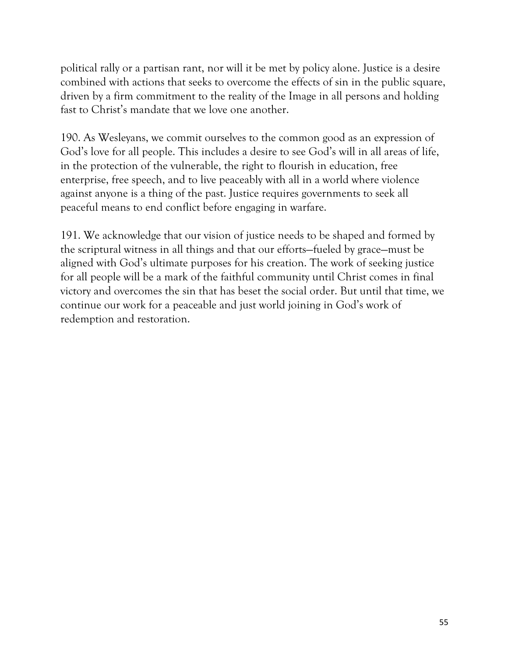political rally or a partisan rant, nor will it be met by policy alone. Justice is a desire combined with actions that seeks to overcome the effects of sin in the public square, driven by a firm commitment to the reality of the Image in all persons and holding fast to Christ's mandate that we love one another.

190. As Wesleyans, we commit ourselves to the common good as an expression of God's love for all people. This includes a desire to see God's will in all areas of life, in the protection of the vulnerable, the right to flourish in education, free enterprise, free speech, and to live peaceably with all in a world where violence against anyone is a thing of the past. Justice requires governments to seek all peaceful means to end conflict before engaging in warfare.

191. We acknowledge that our vision of justice needs to be shaped and formed by the scriptural witness in all things and that our efforts—fueled by grace—must be aligned with God's ultimate purposes for his creation. The work of seeking justice for all people will be a mark of the faithful community until Christ comes in final victory and overcomes the sin that has beset the social order. But until that time, we continue our work for a peaceable and just world joining in God's work of redemption and restoration.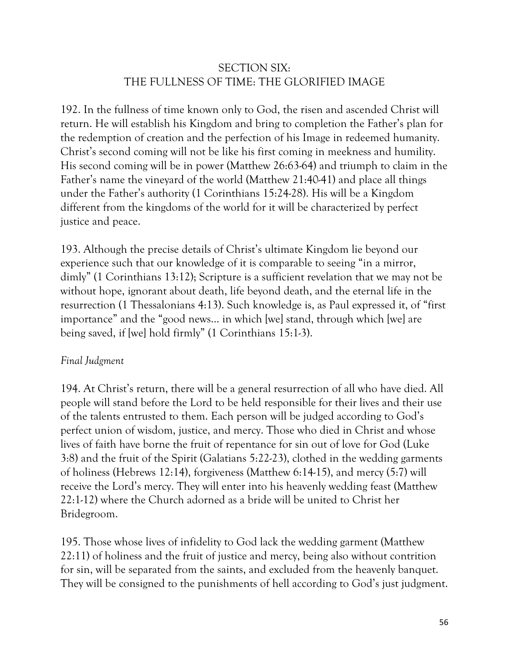# SECTION SIX: THE FULLNESS OF TIME: THE GLORIFIED IMAGE

192. In the fullness of time known only to God, the risen and ascended Christ will return. He will establish his Kingdom and bring to completion the Father's plan for the redemption of creation and the perfection of his Image in redeemed humanity. Christ's second coming will not be like his first coming in meekness and humility. His second coming will be in power (Matthew 26:63-64) and triumph to claim in the Father's name the vineyard of the world (Matthew 21:40-41) and place all things under the Father's authority (1 Corinthians 15:24-28). His will be a Kingdom different from the kingdoms of the world for it will be characterized by perfect justice and peace.

193. Although the precise details of Christ's ultimate Kingdom lie beyond our experience such that our knowledge of it is comparable to seeing "in a mirror, dimly" (1 Corinthians 13:12); Scripture is a sufficient revelation that we may not be without hope, ignorant about death, life beyond death, and the eternal life in the resurrection (1 Thessalonians 4:13). Such knowledge is, as Paul expressed it, of "first importance" and the "good news… in which [we] stand, through which [we] are being saved, if [we] hold firmly" (1 Corinthians 15:1-3).

# *Final Judgment*

194. At Christ's return, there will be a general resurrection of all who have died. All people will stand before the Lord to be held responsible for their lives and their use of the talents entrusted to them. Each person will be judged according to God's perfect union of wisdom, justice, and mercy. Those who died in Christ and whose lives of faith have borne the fruit of repentance for sin out of love for God (Luke 3:8) and the fruit of the Spirit (Galatians 5:22-23), clothed in the wedding garments of holiness (Hebrews 12:14), forgiveness (Matthew 6:14-15), and mercy (5:7) will receive the Lord's mercy. They will enter into his heavenly wedding feast (Matthew 22:1-12) where the Church adorned as a bride will be united to Christ her Bridegroom.

195. Those whose lives of infidelity to God lack the wedding garment (Matthew 22:11) of holiness and the fruit of justice and mercy, being also without contrition for sin, will be separated from the saints, and excluded from the heavenly banquet. They will be consigned to the punishments of hell according to God's just judgment.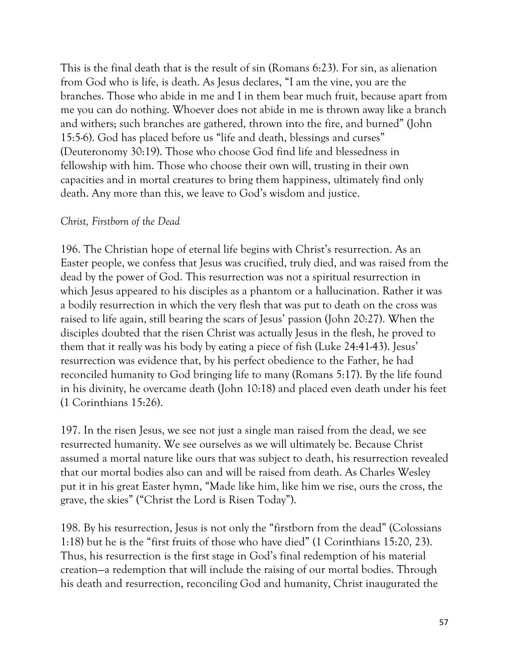This is the final death that is the result of sin (Romans 6:23). For sin, as alienation from God who is life, is death. As Jesus declares, "I am the vine, you are the branches. Those who abide in me and I in them bear much fruit, because apart from me you can do nothing. Whoever does not abide in me is thrown away like a branch and withers; such branches are gathered, thrown into the fire, and burned" (John 15:5-6). God has placed before us "life and death, blessings and curses" (Deuteronomy 30:19). Those who choose God find life and blessedness in fellowship with him. Those who choose their own will, trusting in their own capacities and in mortal creatures to bring them happiness, ultimately find only death. Any more than this, we leave to God's wisdom and justice.

#### *Christ, Firstborn of the Dead*

196. The Christian hope of eternal life begins with Christ's resurrection. As an Easter people, we confess that Jesus was crucified, truly died, and was raised from the dead by the power of God. This resurrection was not a spiritual resurrection in which Jesus appeared to his disciples as a phantom or a hallucination. Rather it was a bodily resurrection in which the very flesh that was put to death on the cross was raised to life again, still bearing the scars of Jesus' passion (John 20:27). When the disciples doubted that the risen Christ was actually Jesus in the flesh, he proved to them that it really was his body by eating a piece of fish (Luke 24:41-43). Jesus' resurrection was evidence that, by his perfect obedience to the Father, he had reconciled humanity to God bringing life to many (Romans 5:17). By the life found in his divinity, he overcame death (John 10:18) and placed even death under his feet (1 Corinthians 15:26).

197. In the risen Jesus, we see not just a single man raised from the dead, we see resurrected humanity. We see ourselves as we will ultimately be. Because Christ assumed a mortal nature like ours that was subject to death, his resurrection revealed that our mortal bodies also can and will be raised from death. As Charles Wesley put it in his great Easter hymn, "Made like him, like him we rise, ours the cross, the grave, the skies" ("Christ the Lord is Risen Today").

198. By his resurrection, Jesus is not only the "firstborn from the dead" (Colossians 1:18) but he is the "first fruits of those who have died" (1 Corinthians 15:20, 23). Thus, his resurrection is the first stage in God's final redemption of his material creation—a redemption that will include the raising of our mortal bodies. Through his death and resurrection, reconciling God and humanity, Christ inaugurated the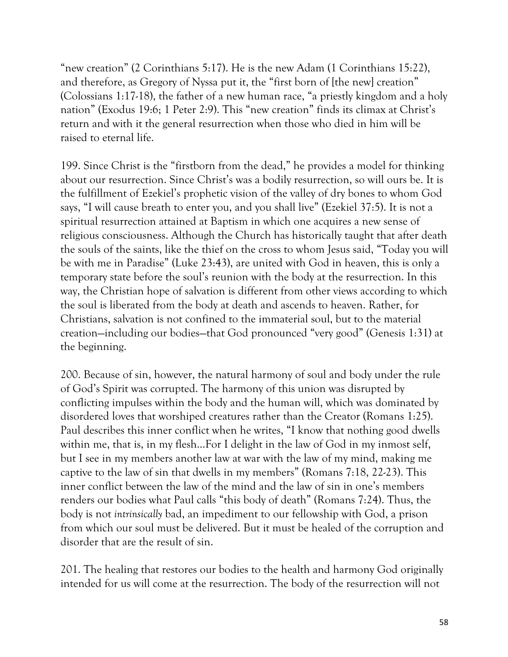"new creation" (2 Corinthians 5:17). He is the new Adam (1 Corinthians 15:22), and therefore, as Gregory of Nyssa put it, the "first born of [the new] creation" (Colossians 1:17-18), the father of a new human race, "a priestly kingdom and a holy nation" (Exodus 19:6; 1 Peter 2:9). This "new creation" finds its climax at Christ's return and with it the general resurrection when those who died in him will be raised to eternal life.

199. Since Christ is the "firstborn from the dead," he provides a model for thinking about our resurrection. Since Christ's was a bodily resurrection, so will ours be. It is the fulfillment of Ezekiel's prophetic vision of the valley of dry bones to whom God says, "I will cause breath to enter you, and you shall live" (Ezekiel 37:5). It is not a spiritual resurrection attained at Baptism in which one acquires a new sense of religious consciousness. Although the Church has historically taught that after death the souls of the saints, like the thief on the cross to whom Jesus said, "Today you will be with me in Paradise" (Luke 23:43), are united with God in heaven, this is only a temporary state before the soul's reunion with the body at the resurrection. In this way, the Christian hope of salvation is different from other views according to which the soul is liberated from the body at death and ascends to heaven. Rather, for Christians, salvation is not confined to the immaterial soul, but to the material creation—including our bodies—that God pronounced "very good" (Genesis 1:31) at the beginning.

200. Because of sin, however, the natural harmony of soul and body under the rule of God's Spirit was corrupted. The harmony of this union was disrupted by conflicting impulses within the body and the human will, which was dominated by disordered loves that worshiped creatures rather than the Creator (Romans 1:25). Paul describes this inner conflict when he writes, "I know that nothing good dwells within me, that is, in my flesh…For I delight in the law of God in my inmost self, but I see in my members another law at war with the law of my mind, making me captive to the law of sin that dwells in my members" (Romans 7:18, 22-23). This inner conflict between the law of the mind and the law of sin in one's members renders our bodies what Paul calls "this body of death" (Romans 7:24). Thus, the body is not *intrinsically* bad, an impediment to our fellowship with God, a prison from which our soul must be delivered. But it must be healed of the corruption and disorder that are the result of sin.

201. The healing that restores our bodies to the health and harmony God originally intended for us will come at the resurrection. The body of the resurrection will not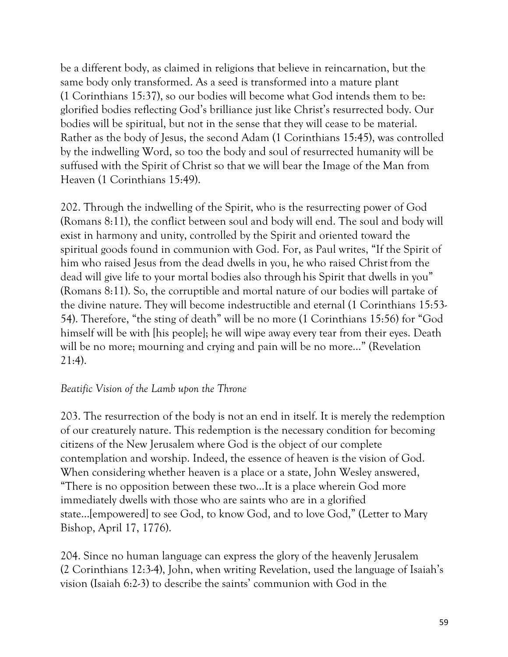be a different body, as claimed in religions that believe in reincarnation, but the same body only transformed. As a seed is transformed into a mature plant (1 Corinthians 15:37), so our bodies will become what God intends them to be: glorified bodies reflecting God's brilliance just like Christ's resurrected body. Our bodies will be spiritual, but not in the sense that they will cease to be material. Rather as the body of Jesus, the second Adam (1 Corinthians 15:45), was controlled by the indwelling Word, so too the body and soul of resurrected humanity will be suffused with the Spirit of Christ so that we will bear the Image of the Man from Heaven (1 Corinthians 15:49).

202. Through the indwelling of the Spirit, who is the resurrecting power of God (Romans 8:11), the conflict between soul and body will end. The soul and body will exist in harmony and unity, controlled by the Spirit and oriented toward the spiritual goods found in communion with God. For, as Paul writes, "If the Spirit of him who raised Jesus from the dead dwells in you, he who raised Christ from the dead will give life to your mortal bodies also through his Spirit that dwells in you" (Romans 8:11). So, the corruptible and mortal nature of our bodies will partake of the divine nature. They will become indestructible and eternal (1 Corinthians 15:53- 54). Therefore, "the sting of death" will be no more (1 Corinthians 15:56) for "God himself will be with [his people]; he will wipe away every tear from their eyes. Death will be no more; mourning and crying and pain will be no more…" (Revelation 21:4).

#### *Beatific Vision of the Lamb upon the Throne*

203. The resurrection of the body is not an end in itself. It is merely the redemption of our creaturely nature. This redemption is the necessary condition for becoming citizens of the New Jerusalem where God is the object of our complete contemplation and worship. Indeed, the essence of heaven is the vision of God. When considering whether heaven is a place or a state, John Wesley answered, "There is no opposition between these two…It is a place wherein God more immediately dwells with those who are saints who are in a glorified state…[empowered] to see God, to know God, and to love God," (Letter to Mary Bishop, April 17, 1776).

204. Since no human language can express the glory of the heavenly Jerusalem (2 Corinthians 12:3-4), John, when writing Revelation, used the language of Isaiah's vision (Isaiah 6:2-3) to describe the saints' communion with God in the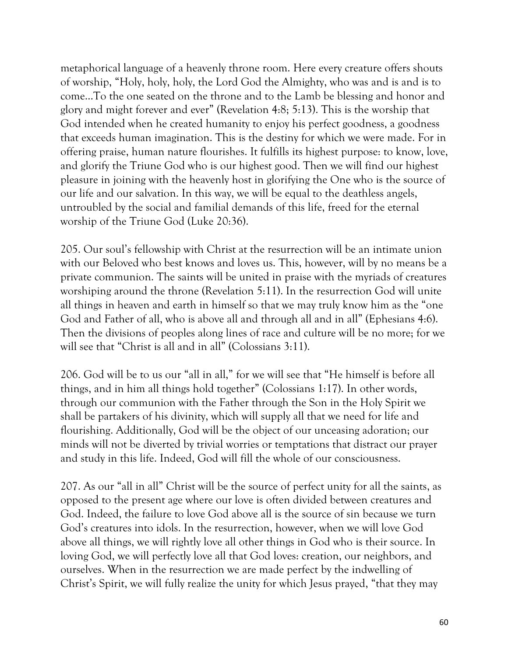metaphorical language of a heavenly throne room. Here every creature offers shouts of worship, "Holy, holy, holy, the Lord God the Almighty, who was and is and is to come…To the one seated on the throne and to the Lamb be blessing and honor and glory and might forever and ever" (Revelation 4:8; 5:13). This is the worship that God intended when he created humanity to enjoy his perfect goodness, a goodness that exceeds human imagination. This is the destiny for which we were made. For in offering praise, human nature flourishes. It fulfills its highest purpose: to know, love, and glorify the Triune God who is our highest good. Then we will find our highest pleasure in joining with the heavenly host in glorifying the One who is the source of our life and our salvation. In this way, we will be equal to the deathless angels, untroubled by the social and familial demands of this life, freed for the eternal worship of the Triune God (Luke 20:36).

205. Our soul's fellowship with Christ at the resurrection will be an intimate union with our Beloved who best knows and loves us. This, however, will by no means be a private communion. The saints will be united in praise with the myriads of creatures worshiping around the throne (Revelation 5:11). In the resurrection God will unite all things in heaven and earth in himself so that we may truly know him as the "one God and Father of all, who is above all and through all and in all" (Ephesians 4:6). Then the divisions of peoples along lines of race and culture will be no more; for we will see that "Christ is all and in all" (Colossians 3:11).

206. God will be to us our "all in all," for we will see that "He himself is before all things, and in him all things hold together" (Colossians 1:17). In other words, through our communion with the Father through the Son in the Holy Spirit we shall be partakers of his divinity, which will supply all that we need for life and flourishing. Additionally, God will be the object of our unceasing adoration; our minds will not be diverted by trivial worries or temptations that distract our prayer and study in this life. Indeed, God will fill the whole of our consciousness.

207. As our "all in all" Christ will be the source of perfect unity for all the saints, as opposed to the present age where our love is often divided between creatures and God. Indeed, the failure to love God above all is the source of sin because we turn God's creatures into idols. In the resurrection, however, when we will love God above all things, we will rightly love all other things in God who is their source. In loving God, we will perfectly love all that God loves: creation, our neighbors, and ourselves. When in the resurrection we are made perfect by the indwelling of Christ's Spirit, we will fully realize the unity for which Jesus prayed, "that they may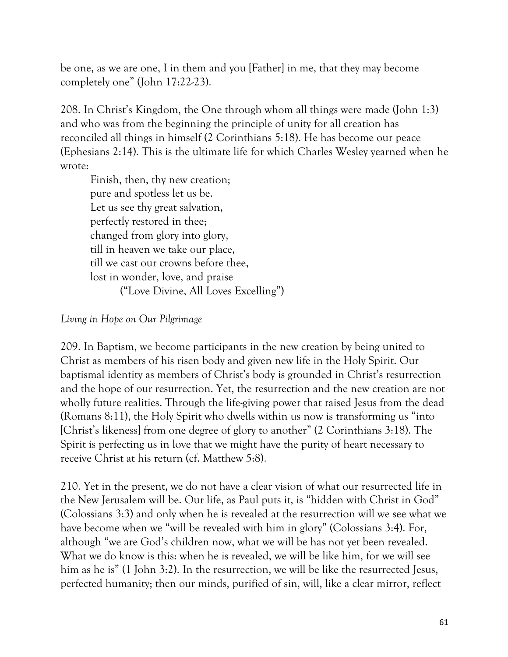be one, as we are one, I in them and you [Father] in me, that they may become completely one" (John 17:22-23).

208. In Christ's Kingdom, the One through whom all things were made (John 1:3) and who was from the beginning the principle of unity for all creation has reconciled all things in himself (2 Corinthians 5:18). He has become our peace (Ephesians 2:14). This is the ultimate life for which Charles Wesley yearned when he wrote:

Finish, then, thy new creation; pure and spotless let us be. Let us see thy great salvation, perfectly restored in thee; changed from glory into glory, till in heaven we take our place, till we cast our crowns before thee, lost in wonder, love, and praise ("Love Divine, All Loves Excelling")

#### *Living in Hope on Our Pilgrimage*

209. In Baptism, we become participants in the new creation by being united to Christ as members of his risen body and given new life in the Holy Spirit. Our baptismal identity as members of Christ's body is grounded in Christ's resurrection and the hope of our resurrection. Yet, the resurrection and the new creation are not wholly future realities. Through the life-giving power that raised Jesus from the dead (Romans 8:11), the Holy Spirit who dwells within us now is transforming us "into [Christ's likeness] from one degree of glory to another" (2 Corinthians 3:18). The Spirit is perfecting us in love that we might have the purity of heart necessary to receive Christ at his return (cf. Matthew 5:8).

210. Yet in the present, we do not have a clear vision of what our resurrected life in the New Jerusalem will be. Our life, as Paul puts it, is "hidden with Christ in God" (Colossians 3:3) and only when he is revealed at the resurrection will we see what we have become when we "will be revealed with him in glory" (Colossians 3:4). For, although "we are God's children now, what we will be has not yet been revealed. What we do know is this: when he is revealed, we will be like him, for we will see him as he is" (1 John 3:2). In the resurrection, we will be like the resurrected Jesus, perfected humanity; then our minds, purified of sin, will, like a clear mirror, reflect